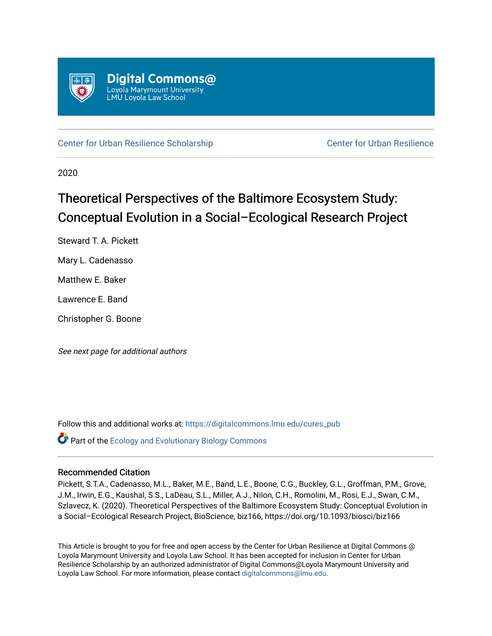

[Center for Urban Resilience Scholarship](https://digitalcommons.lmu.edu/cures_pub) Center for Urban Resilience

2020

# Theoretical Perspectives of the Baltimore Ecosystem Study: Conceptual Evolution in a Social–Ecological Research Project

Steward T. A. Pickett

Mary L. Cadenasso

Matthew E. Baker

Lawrence E. Band

Christopher G. Boone

See next page for additional authors

Follow this and additional works at: [https://digitalcommons.lmu.edu/cures\\_pub](https://digitalcommons.lmu.edu/cures_pub?utm_source=digitalcommons.lmu.edu%2Fcures_pub%2F29&utm_medium=PDF&utm_campaign=PDFCoverPages) 

**Part of the [Ecology and Evolutionary Biology Commons](http://network.bepress.com/hgg/discipline/14?utm_source=digitalcommons.lmu.edu%2Fcures_pub%2F29&utm_medium=PDF&utm_campaign=PDFCoverPages)** 

## Recommended Citation

Pickett, S.T.A., Cadenasso, M.L., Baker, M.E., Band, L.E., Boone, C.G., Buckley, G.L., Groffman, P.M., Grove, J.M., Irwin, E.G., Kaushal, S.S., LaDeau, S.L., Miller, A.J., Nilon, C.H., Romolini, M., Rosi, E.J., Swan, C.M., Szlavecz, K. (2020). Theoretical Perspectives of the Baltimore Ecosystem Study: Conceptual Evolution in a Social–Ecological Research Project, BioScience, biz166, https://doi.org/10.1093/biosci/biz166

This Article is brought to you for free and open access by the Center for Urban Resilience at Digital Commons @ Loyola Marymount University and Loyola Law School. It has been accepted for inclusion in Center for Urban Resilience Scholarship by an authorized administrator of Digital Commons@Loyola Marymount University and Loyola Law School. For more information, please contact [digitalcommons@lmu.edu](mailto:digitalcommons@lmu.edu).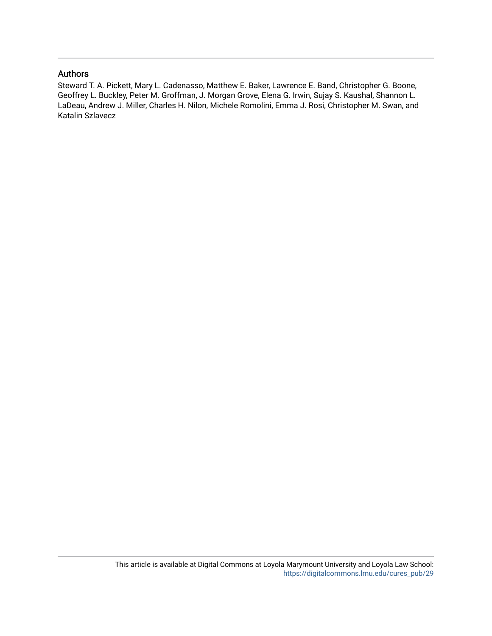# Authors

Steward T. A. Pickett, Mary L. Cadenasso, Matthew E. Baker, Lawrence E. Band, Christopher G. Boone, Geoffrey L. Buckley, Peter M. Groffman, J. Morgan Grove, Elena G. Irwin, Sujay S. Kaushal, Shannon L. LaDeau, Andrew J. Miller, Charles H. Nilon, Michele Romolini, Emma J. Rosi, Christopher M. Swan, and Katalin Szlavecz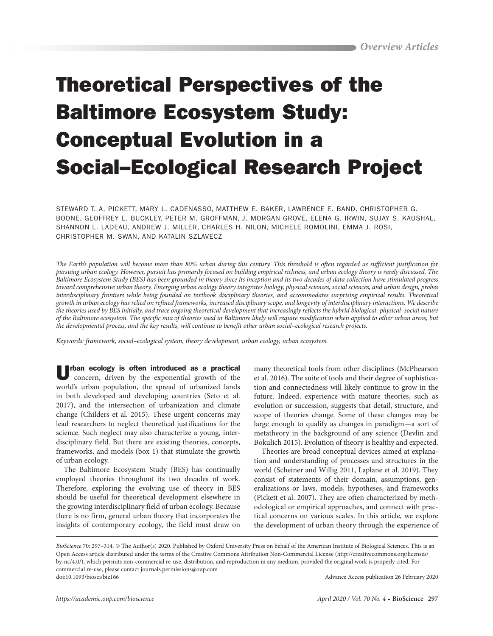# Theoretical Perspectives of the Baltimore Ecosystem Study: Conceptual Evolution in a Social–Ecological Research Project

STEWARD T. A. PICKETT, MARY L. CADENASSO, MATTHEW E. BAKER, LAWRENCE E. BAND, CHRISTOPHER G. BOONE, GEOFFREY L. BUCKLEY, PETER M. GROFFMAN, J. MORGAN GROVE, ELENA G. IRWIN, SUJAY S. KAUSHAL, SHANNON L. LADEAU, ANDREW J. MILLER, CHARLES H. NILON, MICHELE ROMOLINI, EMMA J. ROSI, CHRISTOPHER M. SWAN, AND KATALIN SZLAVECZ

*The Earth's population will become more than 80% urban during this century. This threshold is often regarded as sufficient justification for pursuing urban ecology. However, pursuit has primarily focused on building empirical richness, and urban ecology theory is rarely discussed. The Baltimore Ecosystem Study (BES) has been grounded in theory since its inception and its two decades of data collection have stimulated progress toward comprehensive urban theory. Emerging urban ecology theory integrates biology, physical sciences, social sciences, and urban design, probes interdisciplinary frontiers while being founded on textbook disciplinary theories, and accommodates surprising empirical results. Theoretical growth in urban ecology has relied on refined frameworks, increased disciplinary scope, and longevity of interdisciplinary interactions. We describe the theories used by BES initially, and trace ongoing theoretical development that increasingly reflects the hybrid biological–physical–social nature of the Baltimore ecosystem. The specific mix of theories used in Baltimore likely will require modification when applied to other urban areas, but the developmental process, and the key results, will continue to benefit other urban social–ecological research projects.*

*Keywords: framework, social–ecological system, theory development, urban ecology, urban ecosystem*

Urban ecology is often introduced as a practical concern, driven by the exponential growth of the world's urban population, the spread of urbanized lands in both developed and developing countries (Seto et al. 2017), and the intersection of urbanization and climate change (Childers et al. 2015). These urgent concerns may lead researchers to neglect theoretical justifications for the science. Such neglect may also characterize a young, interdisciplinary field. But there are existing theories, concepts, frameworks, and models (box 1) that stimulate the growth of urban ecology.

The Baltimore Ecosystem Study (BES) has continually employed theories throughout its two decades of work. Therefore, exploring the evolving use of theory in BES should be useful for theoretical development elsewhere in the growing interdisciplinary field of urban ecology. Because there is no firm, general urban theory that incorporates the insights of contemporary ecology, the field must draw on many theoretical tools from other disciplines (McPhearson et al. 2016). The suite of tools and their degree of sophistication and connectedness will likely continue to grow in the future. Indeed, experience with mature theories, such as evolution or succession, suggests that detail, structure, and scope of theories change. Some of these changes may be large enough to qualify as changes in paradigm—a sort of metatheory in the background of any science (Devlin and Bokulich 2015). Evolution of theory is healthy and expected.

Theories are broad conceptual devices aimed at explanation and understanding of processes and structures in the world (Scheiner and Willig 2011, Laplane et al. 2019). They consist of statements of their domain, assumptions, generalizations or laws, models, hypotheses, and frameworks (Pickett et al. 2007). They are often characterized by methodological or empirical approaches, and connect with practical concerns on various scales. In this article, we explore the development of urban theory through the experience of

*BioScience* 70: 297–314. © The Author(s) 2020. Published by Oxford University Press on behalf of the American Institute of Biological Sciences. This is an Open Access article distributed under the terms of the Creative Commons Attribution Non-Commercial License (http://creativecommons.org/licenses/ by-nc/4.0/), which permits non-commercial re-use, distribution, and reproduction in any medium, provided the original work is properly cited. For commercial re-use, please contact journals.permissions@oup.com doi:10.1093/biosci/biz166 Advance Access publication 26 February 2020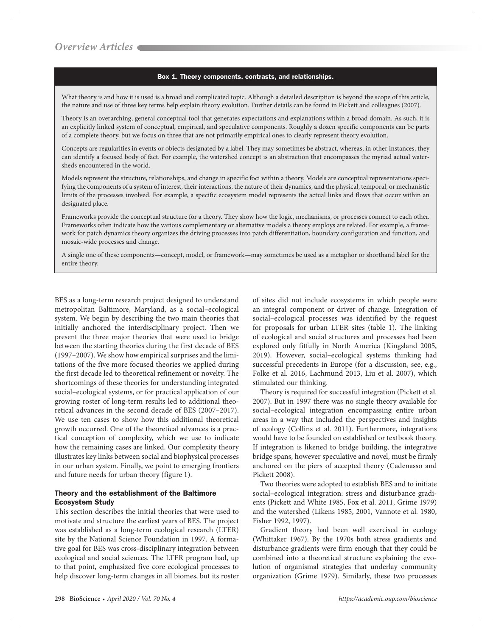#### Box 1. Theory components, contrasts, and relationships.

What theory is and how it is used is a broad and complicated topic. Although a detailed description is beyond the scope of this article, the nature and use of three key terms help explain theory evolution. Further details can be found in Pickett and colleagues (2007).

Theory is an overarching, general conceptual tool that generates expectations and explanations within a broad domain. As such, it is an explicitly linked system of conceptual, empirical, and speculative components. Roughly a dozen specific components can be parts of a complete theory, but we focus on three that are not primarily empirical ones to clearly represent theory evolution.

Concepts are regularities in events or objects designated by a label. They may sometimes be abstract, whereas, in other instances, they can identify a focused body of fact. For example, the watershed concept is an abstraction that encompasses the myriad actual watersheds encountered in the world.

Models represent the structure, relationships, and change in specific foci within a theory. Models are conceptual representations specifying the components of a system of interest, their interactions, the nature of their dynamics, and the physical, temporal, or mechanistic limits of the processes involved. For example, a specific ecosystem model represents the actual links and flows that occur within an designated place.

Frameworks provide the conceptual structure for a theory. They show how the logic, mechanisms, or processes connect to each other. Frameworks often indicate how the various complementary or alternative models a theory employs are related. For example, a framework for patch dynamics theory organizes the driving processes into patch differentiation, boundary configuration and function, and mosaic-wide processes and change.

A single one of these components—concept, model, or framework—may sometimes be used as a metaphor or shorthand label for the entire theory.

BES as a long-term research project designed to understand metropolitan Baltimore, Maryland, as a social–ecological system. We begin by describing the two main theories that initially anchored the interdisciplinary project. Then we present the three major theories that were used to bridge between the starting theories during the first decade of BES (1997–2007). We show how empirical surprises and the limitations of the five more focused theories we applied during the first decade led to theoretical refinement or novelty. The shortcomings of these theories for understanding integrated social–ecological systems, or for practical application of our growing roster of long-term results led to additional theoretical advances in the second decade of BES (2007–2017). We use ten cases to show how this additional theoretical growth occurred. One of the theoretical advances is a practical conception of complexity, which we use to indicate how the remaining cases are linked. Our complexity theory illustrates key links between social and biophysical processes in our urban system. Finally, we point to emerging frontiers and future needs for urban theory (figure 1).

#### Theory and the establishment of the Baltimore Ecosystem Study

This section describes the initial theories that were used to motivate and structure the earliest years of BES. The project was established as a long-term ecological research (LTER) site by the National Science Foundation in 1997. A formative goal for BES was cross-disciplinary integration between ecological and social sciences. The LTER program had, up to that point, emphasized five core ecological processes to help discover long-term changes in all biomes, but its roster

of sites did not include ecosystems in which people were an integral component or driver of change. Integration of social–ecological processes was identified by the request for proposals for urban LTER sites (table 1). The linking of ecological and social structures and processes had been explored only fitfully in North America (Kingsland 2005, 2019). However, social–ecological systems thinking had successful precedents in Europe (for a discussion, see, e.g., Folke et al. 2016, Lachmund 2013, Liu et al. 2007), which stimulated our thinking.

Theory is required for successful integration (Pickett et al. 2007). But in 1997 there was no single theory available for social–ecological integration encompassing entire urban areas in a way that included the perspectives and insights of ecology (Collins et al. 2011). Furthermore, integrations would have to be founded on established or textbook theory. If integration is likened to bridge building, the integrative bridge spans, however speculative and novel, must be firmly anchored on the piers of accepted theory (Cadenasso and Pickett 2008).

Two theories were adopted to establish BES and to initiate social–ecological integration: stress and disturbance gradients (Pickett and White 1985, Fox et al. 2011, Grime 1979) and the watershed (Likens 1985, 2001, Vannote et al. 1980, Fisher 1992, 1997).

Gradient theory had been well exercised in ecology (Whittaker 1967). By the 1970s both stress gradients and disturbance gradients were firm enough that they could be combined into a theoretical structure explaining the evolution of organismal strategies that underlay community organization (Grime 1979). Similarly, these two processes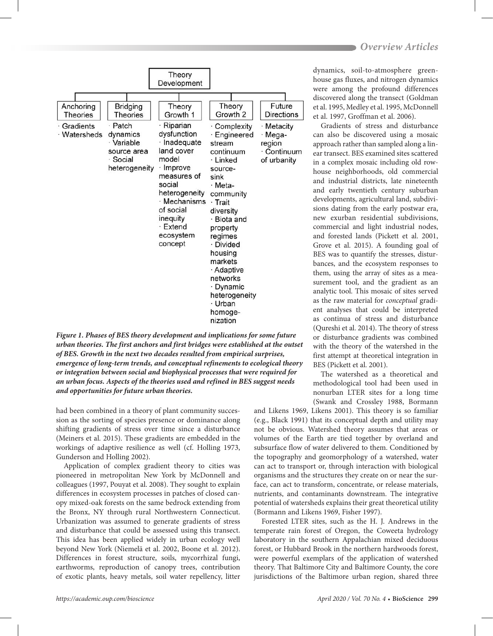|                                                             |                                                                                                              | Theory<br>Development                                                                                                                                                                                                      |                                                                                                                                                                                                                                                                                                                             |                                                                                            |
|-------------------------------------------------------------|--------------------------------------------------------------------------------------------------------------|----------------------------------------------------------------------------------------------------------------------------------------------------------------------------------------------------------------------------|-----------------------------------------------------------------------------------------------------------------------------------------------------------------------------------------------------------------------------------------------------------------------------------------------------------------------------|--------------------------------------------------------------------------------------------|
| Anchoring<br><b>Theories</b><br>· Gradients<br>· Watersheds | <b>Bridging</b><br>Theories<br>· Patch<br>dynamics<br>· Variable<br>source area<br>· Social<br>heterogeneity | Theory<br>Growth 1<br>· Riparian<br>dysfunction<br>· Inadequate<br>land cover<br>model<br>· Improve<br>measures of<br>social<br>heterogeneity<br>· Mechanisms<br>of social<br>inequity<br>· Extend<br>ecosystem<br>concept | Theory<br>Growth 2<br>· Complexity<br>· Engineered<br>stream<br>continuum<br>· Linked<br>source-<br>sink<br>· Meta-<br>community<br>· Trait<br>diversity<br>· Biota and<br>property<br>regimes<br>· Divided<br>housing<br>markets<br>· Adaptive<br>networks<br>· Dynamic<br>heterogeneity<br>· Urban<br>homoge-<br>nization | Future<br><b>Directions</b><br>· Metacity<br>Mega-<br>region<br>· Continuum<br>of urbanity |

*Figure 1. Phases of BES theory development and implications for some future urban theories. The first anchors and first bridges were established at the outset of BES. Growth in the next two decades resulted from empirical surprises, emergence of long-term trends, and conceptual refinements to ecological theory or integration between social and biophysical processes that were required for an urban focus. Aspects of the theories used and refined in BES suggest needs and opportunities for future urban theories.*

had been combined in a theory of plant community succession as the sorting of species presence or dominance along shifting gradients of stress over time since a disturbance (Meiners et al. 2015). These gradients are embedded in the workings of adaptive resilience as well (cf. Holling 1973, Gunderson and Holling 2002).

Application of complex gradient theory to cities was pioneered in metropolitan New York by McDonnell and colleagues (1997, Pouyat et al. 2008). They sought to explain differences in ecosystem processes in patches of closed canopy mixed-oak forests on the same bedrock extending from the Bronx, NY through rural Northwestern Connecticut. Urbanization was assumed to generate gradients of stress and disturbance that could be assessed using this transect. This idea has been applied widely in urban ecology well beyond New York (Niemelä et al. 2002, Boone et al. 2012). Differences in forest structure, soils, mycorrhizal fungi, earthworms, reproduction of canopy trees, contribution of exotic plants, heavy metals, soil water repellency, litter

dynamics, soil-to-atmosphere greenhouse gas fluxes, and nitrogen dynamics were among the profound differences discovered along the transect (Goldman et al. 1995, Medley et al. 1995, McDonnell et al. 1997, Groffman et al. 2006).

Gradients of stress and disturbance can also be discovered using a mosaic approach rather than sampled along a linear transect. BES examined sites scattered in a complex mosaic including old rowhouse neighborhoods, old commercial and industrial districts, late nineteenth and early twentieth century suburban developments, agricultural land, subdivisions dating from the early postwar era, new exurban residential subdivisions, commercial and light industrial nodes, and forested lands (Pickett et al. 2001, Grove et al. 2015). A founding goal of BES was to quantify the stresses, disturbances, and the ecosystem responses to them, using the array of sites as a measurement tool, and the gradient as an analytic tool. This mosaic of sites served as the raw material for *conceptual* gradient analyses that could be interpreted as continua of stress and disturbance (Qureshi et al. 2014). The theory of stress or disturbance gradients was combined with the theory of the watershed in the first attempt at theoretical integration in BES (Pickett et al. 2001).

The watershed as a theoretical and methodological tool had been used in nonurban LTER sites for a long time (Swank and Crossley 1988, Bormann

and Likens 1969, Likens 2001). This theory is so familiar (e.g., Black 1991) that its conceptual depth and utility may not be obvious. Watershed theory assumes that areas or volumes of the Earth are tied together by overland and subsurface flow of water delivered to them. Conditioned by the topography and geomorphology of a watershed, water can act to transport or, through interaction with biological organisms and the structures they create on or near the surface, can act to transform, concentrate, or release materials, nutrients, and contaminants downstream. The integrative potential of watersheds explains their great theoretical utility (Bormann and Likens 1969, Fisher 1997).

Forested LTER sites, such as the H. J. Andrews in the temperate rain forest of Oregon, the Coweeta hydrology laboratory in the southern Appalachian mixed deciduous forest, or Hubbard Brook in the northern hardwoods forest, were powerful exemplars of the application of watershed theory. That Baltimore City and Baltimore County, the core jurisdictions of the Baltimore urban region, shared three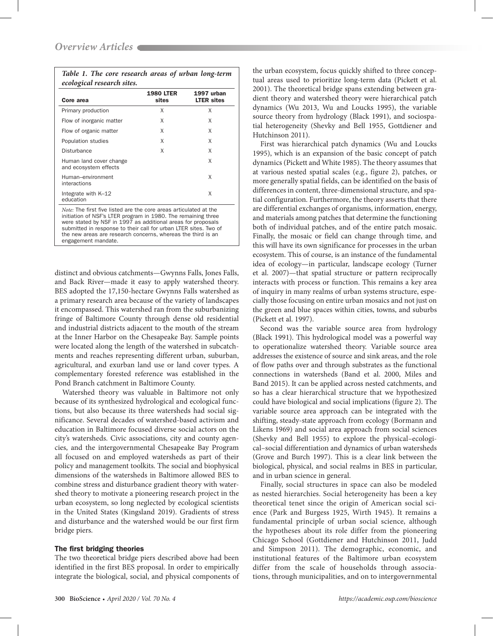| etologital research sites.                       |                    |                                 |  |  |
|--------------------------------------------------|--------------------|---------------------------------|--|--|
| Core area                                        | 1980 LTER<br>sites | 1997 urban<br><b>LTER sites</b> |  |  |
| Primary production                               | Χ                  | X                               |  |  |
| Flow of inorganic matter                         | X                  | X                               |  |  |
| Flow of organic matter                           | X                  | X                               |  |  |
| Population studies                               | X                  | X                               |  |  |
| Disturbance                                      | X                  | X                               |  |  |
| Human land cover change<br>and ecosystem effects |                    | X                               |  |  |
| Human-environment<br>interactions                |                    | X                               |  |  |
| Integrate with K-12<br>education                 |                    | X                               |  |  |

*Table 1. The core research areas of urban long-term ecological research sites.*

*Note:* The first five listed are the core areas articulated at the initiation of NSF's LTER program in 1980. The remaining three were stated by NSF in 1997 as additional areas for proposals submitted in response to their call for urban LTER sites. Two of the new areas are research concerns, whereas the third is an engagement mandate.

distinct and obvious catchments—Gwynns Falls, Jones Falls, and Back River—made it easy to apply watershed theory. BES adopted the 17,150-hectare Gwynns Falls watershed as a primary research area because of the variety of landscapes it encompassed. This watershed ran from the suburbanizing fringe of Baltimore County through dense old residential and industrial districts adjacent to the mouth of the stream at the Inner Harbor on the Chesapeake Bay. Sample points were located along the length of the watershed in subcatchments and reaches representing different urban, suburban, agricultural, and exurban land use or land cover types. A complementary forested reference was established in the Pond Branch catchment in Baltimore County.

Watershed theory was valuable in Baltimore not only because of its synthesized hydrological and ecological functions, but also because its three watersheds had social significance. Several decades of watershed-based activism and education in Baltimore focused diverse social actors on the city's watersheds. Civic associations, city and county agencies, and the intergovernmental Chesapeake Bay Program all focused on and employed watersheds as part of their policy and management toolkits. The social and biophysical dimensions of the watersheds in Baltimore allowed BES to combine stress and disturbance gradient theory with watershed theory to motivate a pioneering research project in the urban ecosystem, so long neglected by ecological scientists in the United States (Kingsland 2019). Gradients of stress and disturbance and the watershed would be our first firm bridge piers.

#### The first bridging theories

The two theoretical bridge piers described above had been identified in the first BES proposal. In order to empirically integrate the biological, social, and physical components of the urban ecosystem, focus quickly shifted to three conceptual areas used to prioritize long-term data (Pickett et al. 2001). The theoretical bridge spans extending between gradient theory and watershed theory were hierarchical patch dynamics (Wu 2013, Wu and Loucks 1995), the variable source theory from hydrology (Black 1991), and sociospatial heterogeneity (Shevky and Bell 1955, Gottdiener and Hutchinson 2011).

First was hierarchical patch dynamics (Wu and Loucks 1995), which is an expansion of the basic concept of patch dynamics (Pickett and White 1985). The theory assumes that at various nested spatial scales (e.g., figure 2), patches, or more generally spatial fields, can be identified on the basis of differences in content, three-dimensional structure, and spatial configuration. Furthermore, the theory asserts that there are differential exchanges of organisms, information, energy, and materials among patches that determine the functioning both of individual patches, and of the entire patch mosaic. Finally, the mosaic or field can change through time, and this will have its own significance for processes in the urban ecosystem. This of course, is an instance of the fundamental idea of ecology—in particular, landscape ecology (Turner et al. 2007)—that spatial structure or pattern reciprocally interacts with process or function. This remains a key area of inquiry in many realms of urban systems structure, especially those focusing on entire urban mosaics and not just on the green and blue spaces within cities, towns, and suburbs (Pickett et al. 1997).

Second was the variable source area from hydrology (Black 1991). This hydrological model was a powerful way to operationalize watershed theory. Variable source area addresses the existence of source and sink areas, and the role of flow paths over and through substrates as the functional connections in watersheds (Band et al. 2000, Miles and Band 2015). It can be applied across nested catchments, and so has a clear hierarchical structure that we hypothesized could have biological and social implications (figure 2). The variable source area approach can be integrated with the shifting, steady-state approach from ecology (Bormann and Likens 1969) and social area approach from social sciences (Shevky and Bell 1955) to explore the physical–ecological–social differentiation and dynamics of urban watersheds (Grove and Burch 1997). This is a clear link between the biological, physical, and social realms in BES in particular, and in urban science in general.

Finally, social structures in space can also be modeled as nested hierarchies. Social heterogeneity has been a key theoretical tenet since the origin of American social science (Park and Burgess 1925, Wirth 1945). It remains a fundamental principle of urban social science, although the hypotheses about its role differ from the pioneering Chicago School (Gottdiener and Hutchinson 2011, Judd and Simpson 2011). The demographic, economic, and institutional features of the Baltimore urban ecosystem differ from the scale of households through associations, through municipalities, and on to intergovernmental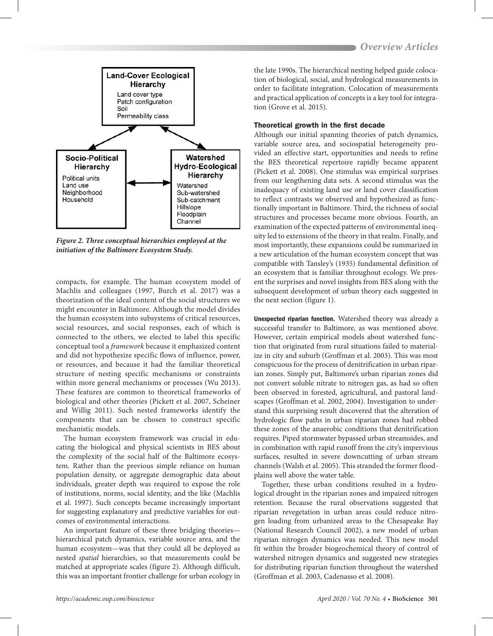

*Figure 2. Three conceptual hierarchies employed at the initiation of the Baltimore Ecosystem Study.*

compacts, for example. The human ecosystem model of Machlis and colleagues (1997, Burch et al. 2017) was a theorization of the ideal content of the social structures we might encounter in Baltimore. Although the model divides the human ecosystem into subsystems of critical resources, social resources, and social responses, each of which is connected to the others, we elected to label this specific conceptual tool a *framework* because it emphasized content and did not hypothesize specific flows of influence, power, or resources, and because it had the familiar theoretical structure of nesting specific mechanisms or constraints within more general mechanisms or processes (Wu 2013). These features are common to theoretical frameworks of biological and other theories (Pickett et al. 2007, Scheiner and Willig 2011). Such nested frameworks identify the components that can be chosen to construct specific mechanistic models.

The human ecosystem framework was crucial in educating the biological and physical scientists in BES about the complexity of the social half of the Baltimore ecosystem. Rather than the previous simple reliance on human population density, or aggregate demographic data about individuals, greater depth was required to expose the role of institutions, norms, social identity, and the like (Machlis et al. 1997). Such concepts became increasingly important for suggesting explanatory and predictive variables for outcomes of environmental interactions.

An important feature of these three bridging theories hierarchical patch dynamics, variable source area, and the human ecosystem—was that they could all be deployed as nested *spatial* hierarchies, so that measurements could be matched at appropriate scales (figure 2). Although difficult, this was an important frontier challenge for urban ecology in

the late 1990s. The hierarchical nesting helped guide colocation of biological, social, and hydrological measurements in order to facilitate integration. Colocation of measurements and practical application of concepts is a key tool for integration (Grove et al. 2015).

#### Theoretical growth in the first decade

Although our initial spanning theories of patch dynamics, variable source area, and sociospatial heterogeneity provided an effective start, opportunities and needs to refine the BES theoretical repertoire rapidly became apparent (Pickett et al. 2008). One stimulus was empirical surprises from our lengthening data sets. A second stimulus was the inadequacy of existing land use or land cover classification to reflect contrasts we observed and hypothesized as functionally important in Baltimore. Third, the richness of social structures and processes became more obvious. Fourth, an examination of the expected patterns of environmental inequity led to extensions of the theory in that realm. Finally, and most importantly, these expansions could be summarized in a new articulation of the human ecosystem concept that was compatible with Tansley's (1935) fundamental definition of an ecosystem that is familiar throughout ecology. We present the surprises and novel insights from BES along with the subsequent development of urban theory each suggested in the next section (figure 1).

Unexpected riparian function. Watershed theory was already a successful transfer to Baltimore, as was mentioned above. However, certain empirical models about watershed function that originated from rural situations failed to materialize in city and suburb (Groffman et al. 2003). This was most conspicuous for the process of denitrification in urban riparian zones. Simply put, Baltimore's urban riparian zones did not convert soluble nitrate to nitrogen gas, as had so often been observed in forested, agricultural, and pastoral landscapes (Groffman et al. 2002, 2004). Investigation to understand this surprising result discovered that the alteration of hydrologic flow paths in urban riparian zones had robbed these zones of the anaerobic conditions that denitrification requires. Piped stormwater bypassed urban streamsides, and in combination with rapid runoff from the city's impervious surfaces, resulted in severe downcutting of urban stream channels (Walsh et al. 2005). This stranded the former floodplains well above the water table.

Together, these urban conditions resulted in a hydrological drought in the riparian zones and impaired nitrogen retention. Because the rural observations suggested that riparian revegetation in urban areas could reduce nitrogen loading from urbanized areas to the Chesapeake Bay (National Research Council 2002), a new model of urban riparian nitrogen dynamics was needed. This new model fit within the broader biogeochemical theory of control of watershed nitrogen dynamics and suggested new strategies for distributing riparian function throughout the watershed (Groffman et al. 2003, Cadenasso et al. 2008).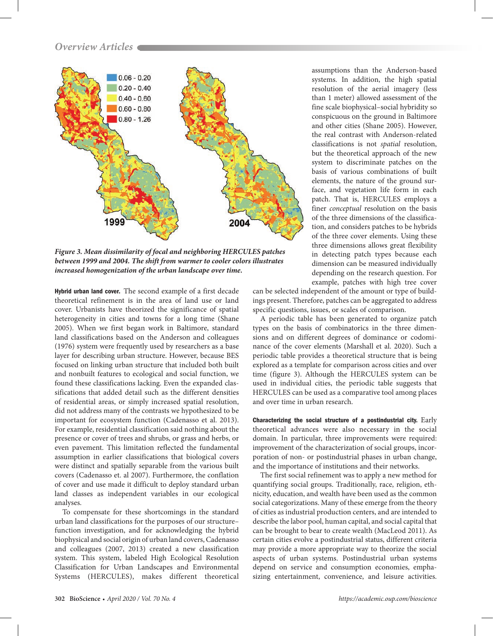

*Figure 3. Mean dissimilarity of focal and neighboring HERCULES patches between 1999 and 2004. The shift from warmer to cooler colors illustrates increased homogenization of the urban landscape over time.*

Hybrid urban land cover. The second example of a first decade theoretical refinement is in the area of land use or land cover. Urbanists have theorized the significance of spatial heterogeneity in cities and towns for a long time (Shane 2005). When we first began work in Baltimore, standard land classifications based on the Anderson and colleagues (1976) system were frequently used by researchers as a base layer for describing urban structure. However, because BES focused on linking urban structure that included both built and nonbuilt features to ecological and social function, we found these classifications lacking. Even the expanded classifications that added detail such as the different densities of residential areas, or simply increased spatial resolution, did not address many of the contrasts we hypothesized to be important for ecosystem function (Cadenasso et al. 2013). For example, residential classification said nothing about the presence or cover of trees and shrubs, or grass and herbs, or even pavement. This limitation reflected the fundamental assumption in earlier classifications that biological covers were distinct and spatially separable from the various built covers (Cadenasso et. al 2007). Furthermore, the conflation of cover and use made it difficult to deploy standard urban land classes as independent variables in our ecological analyses.

To compensate for these shortcomings in the standard urban land classifications for the purposes of our structure– function investigation, and for acknowledging the hybrid biophysical and social origin of urban land covers, Cadenasso and colleagues (2007, 2013) created a new classification system. This system, labeled High Ecological Resolution Classification for Urban Landscapes and Environmental Systems (HERCULES), makes different theoretical

assumptions than the Anderson-based systems. In addition, the high spatial resolution of the aerial imagery (less than 1 meter) allowed assessment of the fine scale biophysical–social hybridity so conspicuous on the ground in Baltimore and other cities (Shane 2005). However, the real contrast with Anderson-related classifications is not *spatial* resolution, but the theoretical approach of the new system to discriminate patches on the basis of various combinations of built elements, the nature of the ground surface, and vegetation life form in each patch. That is, HERCULES employs a finer *conceptual* resolution on the basis of the three dimensions of the classification, and considers patches to be hybrids of the three cover elements. Using these three dimensions allows great flexibility in detecting patch types because each dimension can be measured individually depending on the research question. For example, patches with high tree cover

can be selected independent of the amount or type of buildings present. Therefore, patches can be aggregated to address specific questions, issues, or scales of comparison.

A periodic table has been generated to organize patch types on the basis of combinatorics in the three dimensions and on different degrees of dominance or codominance of the cover elements (Marshall et al. 2020). Such a periodic table provides a theoretical structure that is being explored as a template for comparison across cities and over time (figure 3). Although the HERCULES system can be used in individual cities, the periodic table suggests that HERCULES can be used as a comparative tool among places and over time in urban research.

Characterizing the social structure of a postindustrial city. Early theoretical advances were also necessary in the social domain. In particular, three improvements were required: improvement of the characterization of social groups, incorporation of non- or postindustrial phases in urban change, and the importance of institutions and their networks.

The first social refinement was to apply a new method for quantifying social groups. Traditionally, race, religion, ethnicity, education, and wealth have been used as the common social categorizations. Many of these emerge from the theory of cities as industrial production centers, and are intended to describe the labor pool, human capital, and social capital that can be brought to bear to create wealth (MacLeod 2011). As certain cities evolve a postindustrial status, different criteria may provide a more appropriate way to theorize the social aspects of urban systems. Postindustrial urban systems depend on service and consumption economies, emphasizing entertainment, convenience, and leisure activities.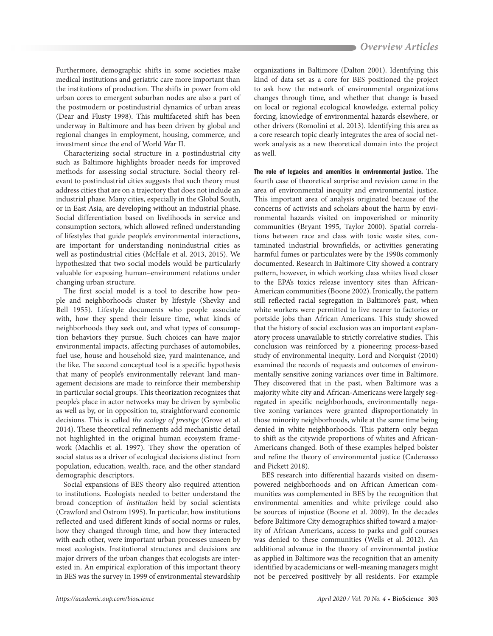Furthermore, demographic shifts in some societies make medical institutions and geriatric care more important than the institutions of production. The shifts in power from old urban cores to emergent suburban nodes are also a part of the postmodern or postindustrial dynamics of urban areas (Dear and Flusty 1998). This multifaceted shift has been underway in Baltimore and has been driven by global and regional changes in employment, housing, commerce, and investment since the end of World War II.

Characterizing social structure in a postindustrial city such as Baltimore highlights broader needs for improved methods for assessing social structure. Social theory relevant to postindustrial cities suggests that such theory must address cities that are on a trajectory that does not include an industrial phase. Many cities, especially in the Global South, or in East Asia, are developing without an industrial phase. Social differentiation based on livelihoods in service and consumption sectors, which allowed refined understanding of lifestyles that guide people's environmental interactions, are important for understanding nonindustrial cities as well as postindustrial cities (McHale et al. 2013, 2015). We hypothesized that two social models would be particularly valuable for exposing human–environment relations under changing urban structure.

The first social model is a tool to describe how people and neighborhoods cluster by lifestyle (Shevky and Bell 1955). Lifestyle documents who people associate with, how they spend their leisure time, what kinds of neighborhoods they seek out, and what types of consumption behaviors they pursue. Such choices can have major environmental impacts, affecting purchases of automobiles, fuel use, house and household size, yard maintenance, and the like. The second conceptual tool is a specific hypothesis that many of people's environmentally relevant land management decisions are made to reinforce their membership in particular social groups. This theorization recognizes that people's place in actor networks may be driven by symbolic as well as by, or in opposition to, straightforward economic decisions. This is called *the ecology of prestige* (Grove et al. 2014). These theoretical refinements add mechanistic detail not highlighted in the original human ecosystem framework (Machlis et al. 1997). They show the operation of social status as a driver of ecological decisions distinct from population, education, wealth, race, and the other standard demographic descriptors.

Social expansions of BES theory also required attention to institutions. Ecologists needed to better understand the broad conception of *institution* held by social scientists (Crawford and Ostrom 1995). In particular, how institutions reflected and used different kinds of social norms or rules, how they changed through time, and how they interacted with each other, were important urban processes unseen by most ecologists. Institutional structures and decisions are major drivers of the urban changes that ecologists are interested in. An empirical exploration of this important theory in BES was the survey in 1999 of environmental stewardship

organizations in Baltimore (Dalton 2001). Identifying this kind of data set as a core for BES positioned the project to ask how the network of environmental organizations changes through time, and whether that change is based on local or regional ecological knowledge, external policy forcing, knowledge of environmental hazards elsewhere, or other drivers (Romolini et al. 2013). Identifying this area as a core research topic clearly integrates the area of social network analysis as a new theoretical domain into the project as well.

The role of legacies and amenities in environmental justice. The fourth case of theoretical surprise and revision came in the area of environmental inequity and environmental justice. This important area of analysis originated because of the concerns of activists and scholars about the harm by environmental hazards visited on impoverished or minority communities (Bryant 1995, Taylor 2000). Spatial correlations between race and class with toxic waste sites, contaminated industrial brownfields, or activities generating harmful fumes or particulates were by the 1990s commonly documented. Research in Baltimore City showed a contrary pattern, however, in which working class whites lived closer to the EPA's toxics release inventory sites than African-American communities (Boone 2002). Ironically, the pattern still reflected racial segregation in Baltimore's past, when white workers were permitted to live nearer to factories or portside jobs than African Americans. This study showed that the history of social exclusion was an important explanatory process unavailable to strictly correlative studies. This conclusion was reinforced by a pioneering process-based study of environmental inequity. Lord and Norquist (2010) examined the records of requests and outcomes of environmentally sensitive zoning variances over time in Baltimore. They discovered that in the past, when Baltimore was a majority white city and African-Americans were largely segregated in specific neighborhoods, environmentally negative zoning variances were granted disproportionately in those minority neighborhoods, while at the same time being denied in white neighborhoods. This pattern only began to shift as the citywide proportions of whites and African-Americans changed. Both of these examples helped bolster and refine the theory of environmental justice (Cadenasso and Pickett 2018).

BES research into differential hazards visited on disempowered neighborhoods and on African American communities was complemented in BES by the recognition that environmental amenities and white privilege could also be sources of injustice (Boone et al. 2009). In the decades before Baltimore City demographics shifted toward a majority of African Americans, access to parks and golf courses was denied to these communities (Wells et al. 2012). An additional advance in the theory of environmental justice as applied in Baltimore was the recognition that an amenity identified by academicians or well-meaning managers might not be perceived positively by all residents. For example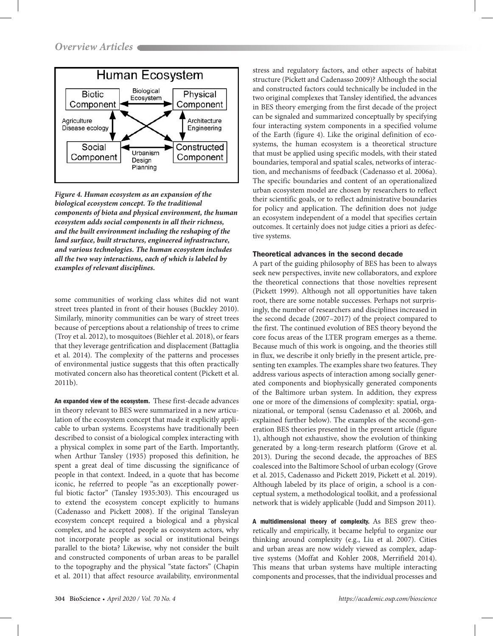

*Figure 4. Human ecosystem as an expansion of the biological ecosystem concept. To the traditional components of biota and physical environment, the human ecosystem adds social components in all their richness, and the built environment including the reshaping of the land surface, built structures, engineered infrastructure, and various technologies. The human ecosystem includes all the two way interactions, each of which is labeled by examples of relevant disciplines.*

some communities of working class whites did not want street trees planted in front of their houses (Buckley 2010). Similarly, minority communities can be wary of street trees because of perceptions about a relationship of trees to crime (Troy et al. 2012), to mosquitoes (Biehler et al. 2018), or fears that they leverage gentrification and displacement (Battaglia et al. 2014). The complexity of the patterns and processes of environmental justice suggests that this often practically motivated concern also has theoretical content (Pickett et al. 2011b).

An expanded view of the ecosystem. These first-decade advances in theory relevant to BES were summarized in a new articulation of the ecosystem concept that made it explicitly applicable to urban systems. Ecosystems have traditionally been described to consist of a biological complex interacting with a physical complex in some part of the Earth. Importantly, when Arthur Tansley (1935) proposed this definition, he spent a great deal of time discussing the significance of people in that context. Indeed, in a quote that has become iconic, he referred to people "as an exceptionally powerful biotic factor" (Tansley 1935:303). This encouraged us to extend the ecosystem concept explicitly to humans (Cadenasso and Pickett 2008). If the original Tansleyan ecosystem concept required a biological and a physical complex, and he accepted people as ecosystem actors, why not incorporate people as social or institutional beings parallel to the biota? Likewise, why not consider the built and constructed components of urban areas to be parallel to the topography and the physical "state factors" (Chapin et al. 2011) that affect resource availability, environmental

stress and regulatory factors, and other aspects of habitat structure (Pickett and Cadenasso 2009)? Although the social and constructed factors could technically be included in the two original complexes that Tansley identified, the advances in BES theory emerging from the first decade of the project can be signaled and summarized conceptually by specifying four interacting system components in a specified volume of the Earth (figure 4). Like the original definition of ecosystems, the human ecosystem is a theoretical structure that must be applied using specific models, with their stated boundaries, temporal and spatial scales, networks of interaction, and mechanisms of feedback (Cadenasso et al. 2006a). The specific boundaries and content of an operationalized urban ecosystem model are chosen by researchers to reflect their scientific goals, or to reflect administrative boundaries for policy and application. The definition does not judge an ecosystem independent of a model that specifies certain outcomes. It certainly does not judge cities a priori as defective systems.

### Theoretical advances in the second decade

A part of the guiding philosophy of BES has been to always seek new perspectives, invite new collaborators, and explore the theoretical connections that those novelties represent (Pickett 1999). Although not all opportunities have taken root, there are some notable successes. Perhaps not surprisingly, the number of researchers and disciplines increased in the second decade (2007–2017) of the project compared to the first. The continued evolution of BES theory beyond the core focus areas of the LTER program emerges as a theme. Because much of this work is ongoing, and the theories still in flux, we describe it only briefly in the present article, presenting ten examples. The examples share two features. They address various aspects of interaction among socially generated components and biophysically generated components of the Baltimore urban system. In addition, they express one or more of the dimensions of complexity: spatial, organizational, or temporal (sensu Cadenasso et al. 2006b, and explained further below). The examples of the second-generation BES theories presented in the present article (figure 1), although not exhaustive, show the evolution of thinking generated by a long-term research platform (Grove et al. 2013). During the second decade, the approaches of BES coalesced into the Baltimore School of urban ecology (Grove et al. 2015, Cadenasso and Pickett 2019, Pickett et al. 2019). Although labeled by its place of origin, a school is a conceptual system, a methodological toolkit, and a professional network that is widely applicable (Judd and Simpson 2011).

A multidimensional theory of complexity. As BES grew theoretically and empirically, it became helpful to organize our thinking around complexity (e.g., Liu et al. 2007). Cities and urban areas are now widely viewed as complex, adaptive systems (Moffat and Kohler 2008, Merrifield 2014). This means that urban systems have multiple interacting components and processes, that the individual processes and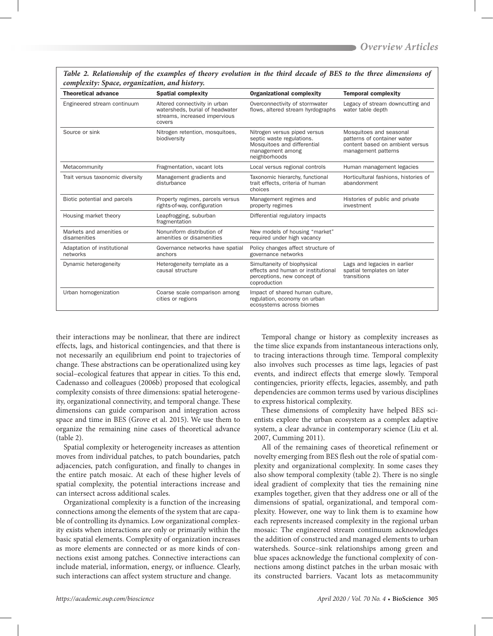| <b>Theoretical advance</b>               | <b>Spatial complexity</b>                                                                                   | <b>Organizational complexity</b>                                                                                              | <b>Temporal complexity</b>                                                                                       |
|------------------------------------------|-------------------------------------------------------------------------------------------------------------|-------------------------------------------------------------------------------------------------------------------------------|------------------------------------------------------------------------------------------------------------------|
| Engineered stream continuum              | Altered connectivity in urban<br>watersheds, burial of headwater<br>streams, increased impervious<br>covers | Overconnectivity of stormwater<br>flows, altered stream hyrdographs                                                           | Legacy of stream downcutting and<br>water table depth                                                            |
| Source or sink                           | Nitrogen retention, mosquitoes,<br>biodiversity                                                             | Nitrogen versus piped versus<br>septic waste regulations.<br>Mosquitoes and differential<br>management among<br>neighborhoods | Mosquitoes and seasonal<br>patterns of container water<br>content based on ambient versus<br>management patterns |
| Metacommunity                            | Fragmentation, vacant lots                                                                                  | Local versus regional controls                                                                                                | Human management legacies                                                                                        |
| Trait versus taxonomic diversity         | Management gradients and<br>disturbance                                                                     | Taxonomic hierarchy, functional<br>trait effects, criteria of human<br>choices                                                | Horticultural fashions, histories of<br>abandonment                                                              |
| Biotic potential and parcels             | Property regimes, parcels versus<br>rights-of-way, configuration                                            | Management regimes and<br>property regimes                                                                                    | Histories of public and private<br>investment                                                                    |
| Housing market theory                    | Leapfrogging, suburban<br>fragmentation                                                                     | Differential regulatory impacts                                                                                               |                                                                                                                  |
| Markets and amenities or<br>disamenities | Nonuniform distribution of<br>amenities or disamenities                                                     | New models of housing "market"<br>required under high vacancy                                                                 |                                                                                                                  |
| Adaptation of institutional<br>networks  | Governance networks have spatial<br>anchors                                                                 | Policy changes affect structure of<br>governance networks                                                                     |                                                                                                                  |
| Dynamic heterogeneity                    | Heterogeneity template as a<br>causal structure                                                             | Simultaneity of biophysical<br>effects and human or institutional<br>perceptions, new concept of<br>coproduction              | Lags and legacies in earlier<br>spatial templates on later<br>transitions                                        |
| Urban homogenization                     | Coarse scale comparison among<br>cities or regions                                                          | Impact of shared human culture,<br>regulation, economy on urban<br>ecosystems across biomes                                   |                                                                                                                  |

*Table 2. Relationship of the examples of theory evolution in the third decade of BES to the three dimensions of complexity: Space, organization, and history.*

their interactions may be nonlinear, that there are indirect effects, lags, and historical contingencies, and that there is not necessarily an equilibrium end point to trajectories of change. These abstractions can be operationalized using key social–ecological features that appear in cities. To this end, Cadenasso and colleagues (2006b) proposed that ecological complexity consists of three dimensions: spatial heterogeneity, organizational connectivity, and temporal change. These dimensions can guide comparison and integration across space and time in BES (Grove et al. 2015). We use them to organize the remaining nine cases of theoretical advance (table 2).

Spatial complexity or heterogeneity increases as attention moves from individual patches, to patch boundaries, patch adjacencies, patch configuration, and finally to changes in the entire patch mosaic. At each of these higher levels of spatial complexity, the potential interactions increase and can intersect across additional scales.

Organizational complexity is a function of the increasing connections among the elements of the system that are capable of controlling its dynamics. Low organizational complexity exists when interactions are only or primarily within the basic spatial elements. Complexity of organization increases as more elements are connected or as more kinds of connections exist among patches. Connective interactions can include material, information, energy, or influence. Clearly, such interactions can affect system structure and change.

Temporal change or history as complexity increases as the time slice expands from instantaneous interactions only, to tracing interactions through time. Temporal complexity also involves such processes as time lags, legacies of past events, and indirect effects that emerge slowly. Temporal contingencies, priority effects, legacies, assembly, and path dependencies are common terms used by various disciplines to express historical complexity.

These dimensions of complexity have helped BES scientists explore the urban ecosystem as a complex adaptive system, a clear advance in contemporary science (Liu et al. 2007, Cumming 2011).

All of the remaining cases of theoretical refinement or novelty emerging from BES flesh out the role of spatial complexity and organizational complexity. In some cases they also show temporal complexity (table 2). There is no single ideal gradient of complexity that ties the remaining nine examples together, given that they address one or all of the dimensions of spatial, organizational, and temporal complexity. However, one way to link them is to examine how each represents increased complexity in the regional urban mosaic: The engineered stream continuum acknowledges the addition of constructed and managed elements to urban watersheds. Source–sink relationships among green and blue spaces acknowledge the functional complexity of connections among distinct patches in the urban mosaic with its constructed barriers. Vacant lots as metacommunity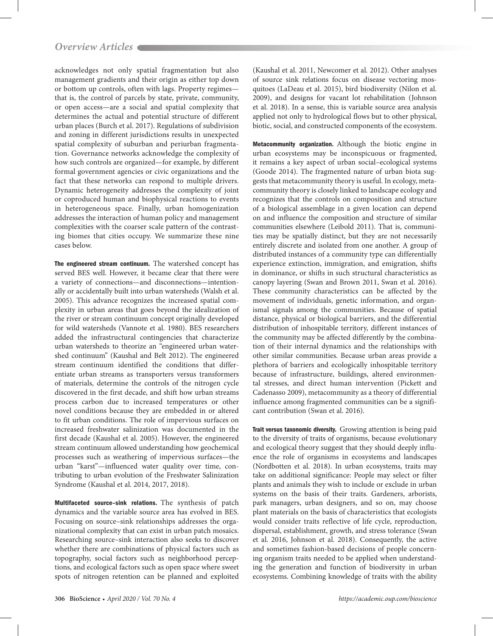acknowledges not only spatial fragmentation but also management gradients and their origin as either top down or bottom up controls, often with lags. Property regimes that is, the control of parcels by state, private, community, or open access—are a social and spatial complexity that determines the actual and potential structure of different urban places (Burch et al. 2017). Regulations of subdivision and zoning in different jurisdictions results in unexpected spatial complexity of suburban and periurban fragmentation. Governance networks acknowledge the complexity of how such controls are organized—for example, by different formal government agencies or civic organizations and the fact that these networks can respond to multiple drivers. Dynamic heterogeneity addresses the complexity of joint or coproduced human and biophysical reactions to events in heterogeneous space. Finally, urban homogenization addresses the interaction of human policy and management complexities with the coarser scale pattern of the contrasting biomes that cities occupy. We summarize these nine cases below.

The engineered stream continuum. The watershed concept has served BES well. However, it became clear that there were a variety of connections—and disconnections—intentionally or accidentally built into urban watersheds (Walsh et al. 2005). This advance recognizes the increased spatial complexity in urban areas that goes beyond the idealization of the river or stream continuum concept originally developed for wild watersheds (Vannote et al. 1980). BES researchers added the infrastructural contingencies that characterize urban watersheds to theorize an "engineered urban watershed continuum" (Kaushal and Belt 2012). The engineered stream continuum identified the conditions that differentiate urban streams as transporters versus transformers of materials, determine the controls of the nitrogen cycle discovered in the first decade, and shift how urban streams process carbon due to increased temperatures or other novel conditions because they are embedded in or altered to fit urban conditions. The role of impervious surfaces on increased freshwater salinization was documented in the first decade (Kaushal et al. 2005). However, the engineered stream continuum allowed understanding how geochemical processes such as weathering of impervious surfaces—the urban "karst"—influenced water quality over time, contributing to urban evolution of the Freshwater Salinization Syndrome (Kaushal et al. 2014, 2017, 2018).

Multifaceted source–sink relations. The synthesis of patch dynamics and the variable source area has evolved in BES. Focusing on source–sink relationships addresses the organizational complexity that can exist in urban patch mosaics. Researching source–sink interaction also seeks to discover whether there are combinations of physical factors such as topography, social factors such as neighborhood perceptions, and ecological factors such as open space where sweet spots of nitrogen retention can be planned and exploited

(Kaushal et al. 2011, Newcomer et al. 2012). Other analyses of source sink relations focus on disease vectoring mosquitoes (LaDeau et al. 2015), bird biodiversity (Nilon et al. 2009), and designs for vacant lot rehabilitation (Johnson et al. 2018). In a sense, this is variable source area analysis applied not only to hydrological flows but to other physical, biotic, social, and constructed components of the ecosystem.

Metacommunity organization. Although the biotic engine in urban ecosystems may be inconspicuous or fragmented, it remains a key aspect of urban social–ecological systems (Goode 2014). The fragmented nature of urban biota suggests that metacommunity theory is useful. In ecology, metacommunity theory is closely linked to landscape ecology and recognizes that the controls on composition and structure of a biological assemblage in a given location can depend on and influence the composition and structure of similar communities elsewhere (Leibold 2011). That is, communities may be spatially distinct, but they are not necessarily entirely discrete and isolated from one another. A group of distributed instances of a community type can differentially experience extinction, immigration, and emigration, shifts in dominance, or shifts in such structural characteristics as canopy layering (Swan and Brown 2011, Swan et al. 2016). These community characteristics can be affected by the movement of individuals, genetic information, and organismal signals among the communities. Because of spatial distance, physical or biological barriers, and the differential distribution of inhospitable territory, different instances of the community may be affected differently by the combination of their internal dynamics and the relationships with other similar communities. Because urban areas provide a plethora of barriers and ecologically inhospitable territory because of infrastructure, buildings, altered environmental stresses, and direct human intervention (Pickett and Cadenasso 2009), metacommunity as a theory of differential influence among fragmented communities can be a significant contribution (Swan et al. 2016).

Trait versus taxonomic diversity. Growing attention is being paid to the diversity of traits of organisms, because evolutionary and ecological theory suggest that they should deeply influence the role of organisms in ecosystems and landscapes (Nordbotten et al. 2018). In urban ecosystems, traits may take on additional significance: People may select or filter plants and animals they wish to include or exclude in urban systems on the basis of their traits. Gardeners, arborists, park managers, urban designers, and so on, may choose plant materials on the basis of characteristics that ecologists would consider traits reflective of life cycle, reproduction, dispersal, establishment, growth, and stress tolerance (Swan et al. 2016, Johnson et al. 2018). Consequently, the active and sometimes fashion-based decisions of people concerning organism traits needed to be applied when understanding the generation and function of biodiversity in urban ecosystems. Combining knowledge of traits with the ability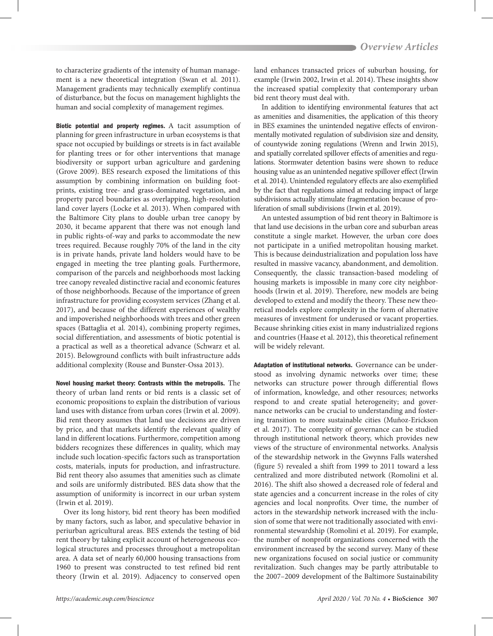to characterize gradients of the intensity of human management is a new theoretical integration (Swan et al. 2011). Management gradients may technically exemplify continua of disturbance, but the focus on management highlights the human and social complexity of management regimes.

Biotic potential and property regimes. A tacit assumption of planning for green infrastructure in urban ecosystems is that space not occupied by buildings or streets is in fact available for planting trees or for other interventions that manage biodiversity or support urban agriculture and gardening (Grove 2009). BES research exposed the limitations of this assumption by combining information on building footprints, existing tree- and grass-dominated vegetation, and property parcel boundaries as overlapping, high-resolution land cover layers (Locke et al. 2013). When compared with the Baltimore City plans to double urban tree canopy by 2030, it became apparent that there was not enough land in public rights-of-way and parks to accommodate the new trees required. Because roughly 70% of the land in the city is in private hands, private land holders would have to be engaged in meeting the tree planting goals. Furthermore, comparison of the parcels and neighborhoods most lacking tree canopy revealed distinctive racial and economic features of those neighborhoods. Because of the importance of green infrastructure for providing ecosystem services (Zhang et al. 2017), and because of the different experiences of wealthy and impoverished neighborhoods with trees and other green spaces (Battaglia et al. 2014), combining property regimes, social differentiation, and assessments of biotic potential is a practical as well as a theoretical advance (Schwarz et al. 2015). Belowground conflicts with built infrastructure adds additional complexity (Rouse and Bunster-Ossa 2013).

Novel housing market theory: Contrasts within the metropolis. The theory of urban land rents or bid rents is a classic set of economic propositions to explain the distribution of various land uses with distance from urban cores (Irwin et al. 2009). Bid rent theory assumes that land use decisions are driven by price, and that markets identify the relevant quality of land in different locations. Furthermore, competition among bidders recognizes these differences in quality, which may include such location-specific factors such as transportation costs, materials, inputs for production, and infrastructure. Bid rent theory also assumes that amenities such as climate and soils are uniformly distributed. BES data show that the assumption of uniformity is incorrect in our urban system (Irwin et al. 2019).

Over its long history, bid rent theory has been modified by many factors, such as labor, and speculative behavior in periurban agricultural areas. BES extends the testing of bid rent theory by taking explicit account of heterogeneous ecological structures and processes throughout a metropolitan area. A data set of nearly 60,000 housing transactions from 1960 to present was constructed to test refined bid rent theory (Irwin et al. 2019). Adjacency to conserved open land enhances transacted prices of suburban housing, for example (Irwin 2002, Irwin et al. 2014). These insights show the increased spatial complexity that contemporary urban bid rent theory must deal with.

In addition to identifying environmental features that act as amenities and disamenities, the application of this theory in BES examines the unintended negative effects of environmentally motivated regulation of subdivision size and density, of countywide zoning regulations (Wrenn and Irwin 2015), and spatially correlated spillover effects of amenities and regulations. Stormwater detention basins were shown to reduce housing value as an unintended negative spillover effect (Irwin et al. 2014). Unintended regulatory effects are also exemplified by the fact that regulations aimed at reducing impact of large subdivisions actually stimulate fragmentation because of proliferation of small subdivisions (Irwin et al. 2019).

An untested assumption of bid rent theory in Baltimore is that land use decisions in the urban core and suburban areas constitute a single market. However, the urban core does not participate in a unified metropolitan housing market. This is because deindustrialization and population loss have resulted in massive vacancy, abandonment, and demolition. Consequently, the classic transaction-based modeling of housing markets is impossible in many core city neighborhoods (Irwin et al. 2019). Therefore, new models are being developed to extend and modify the theory. These new theoretical models explore complexity in the form of alternative measures of investment for underused or vacant properties. Because shrinking cities exist in many industrialized regions and countries (Haase et al. 2012), this theoretical refinement will be widely relevant.

Adaptation of institutional networks. Governance can be understood as involving dynamic networks over time; these networks can structure power through differential flows of information, knowledge, and other resources; networks respond to and create spatial heterogeneity; and governance networks can be crucial to understanding and fostering transition to more sustainable cities (Muñoz‐Erickson et al. 2017). The complexity of governance can be studied through institutional network theory, which provides new views of the structure of environmental networks. Analysis of the stewardship network in the Gwynns Falls watershed (figure 5) revealed a shift from 1999 to 2011 toward a less centralized and more distributed network (Romolini et al. 2016). The shift also showed a decreased role of federal and state agencies and a concurrent increase in the roles of city agencies and local nonprofits. Over time, the number of actors in the stewardship network increased with the inclusion of some that were not traditionally associated with environmental stewardship (Romolini et al. 2019). For example, the number of nonprofit organizations concerned with the environment increased by the second survey. Many of these new organizations focused on social justice or community revitalization. Such changes may be partly attributable to the 2007–2009 development of the Baltimore Sustainability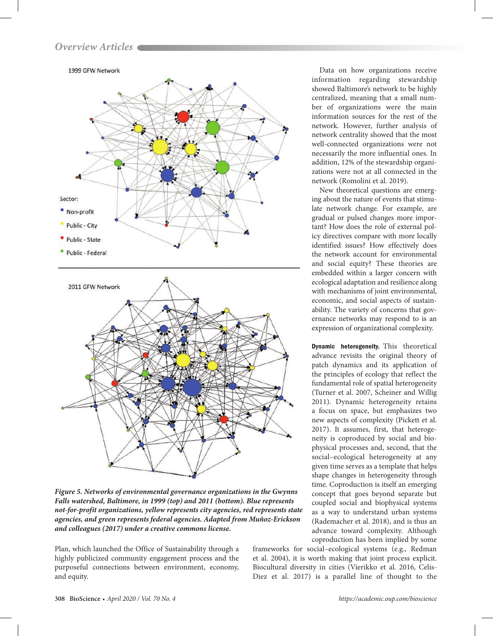

*Figure 5. Networks of environmental governance organizations in the Gwynns Falls watershed, Baltimore, in 1999 (top) and 2011 (bottom). Blue represents not-for-profit organizations, yellow represents city agencies, red represents state agencies, and green represents federal agencies. Adapted from Muñoz-Erickson and colleagues (2017) under a creative commons license.*

Plan, which launched the Office of Sustainability through a highly publicized community engagement process and the purposeful connections between environment, economy, and equity.

Data on how organizations receive information regarding stewardship showed Baltimore's network to be highly centralized, meaning that a small number of organizations were the main information sources for the rest of the network. However, further analysis of network centrality showed that the most well-connected organizations were not necessarily the more influential ones. In addition, 12% of the stewardship organizations were not at all connected in the network (Romolini et al. 2019).

New theoretical questions are emerging about the nature of events that stimulate network change. For example, are gradual or pulsed changes more important? How does the role of external policy directives compare with more locally identified issues? How effectively does the network account for environmental and social equity? These theories are embedded within a larger concern with ecological adaptation and resilience along with mechanisms of joint environmental, economic, and social aspects of sustainability. The variety of concerns that governance networks may respond to is an expression of organizational complexity.

Dynamic heterogeneity. This theoretical advance revisits the original theory of patch dynamics and its application of the principles of ecology that reflect the fundamental role of spatial heterogeneity (Turner et al. 2007, Scheiner and Willig 2011). Dynamic heterogeneity retains a focus on space, but emphasizes two new aspects of complexity (Pickett et al. 2017). It assumes, first, that heterogeneity is coproduced by social and biophysical processes and, second, that the social–ecological heterogeneity at any given time serves as a template that helps shape changes in heterogeneity through time. Coproduction is itself an emerging concept that goes beyond separate but coupled social and biophysical systems as a way to understand urban systems (Rademacher et al. 2018), and is thus an advance toward complexity. Although coproduction has been implied by some

frameworks for social–ecological systems (e.g., Redman et al. 2004), it is worth making that joint process explicit. Biocultural diversity in cities (Vierikko et al. 2016, Celis-Diez et al. 2017) is a parallel line of thought to the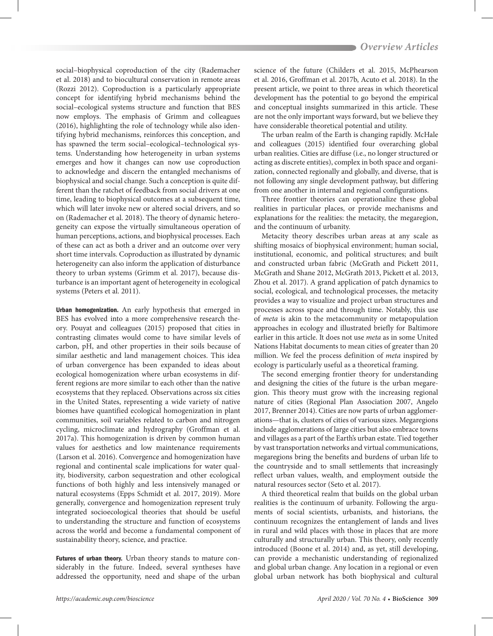social–biophysical coproduction of the city (Rademacher et al. 2018) and to biocultural conservation in remote areas (Rozzi 2012). Coproduction is a particularly appropriate concept for identifying hybrid mechanisms behind the social–ecological systems structure and function that BES now employs. The emphasis of Grimm and colleagues (2016), highlighting the role of technology while also identifying hybrid mechanisms, reinforces this conception, and has spawned the term social–ecological–technological systems. Understanding how heterogeneity in urban systems emerges and how it changes can now use coproduction to acknowledge and discern the entangled mechanisms of biophysical and social change. Such a conception is quite different than the ratchet of feedback from social drivers at one time, leading to biophysical outcomes at a subsequent time, which will later invoke new or altered social drivers, and so on (Rademacher et al. 2018). The theory of dynamic heterogeneity can expose the virtually simultaneous operation of human perceptions, actions, and biophysical processes. Each of these can act as both a driver and an outcome over very short time intervals. Coproduction as illustrated by dynamic heterogeneity can also inform the application of disturbance theory to urban systems (Grimm et al. 2017), because disturbance is an important agent of heterogeneity in ecological systems (Peters et al. 2011).

Urban homogenization. An early hypothesis that emerged in BES has evolved into a more comprehensive research theory. Pouyat and colleagues (2015) proposed that cities in contrasting climates would come to have similar levels of carbon, pH, and other properties in their soils because of similar aesthetic and land management choices. This idea of urban convergence has been expanded to ideas about ecological homogenization where urban ecosystems in different regions are more similar to each other than the native ecosystems that they replaced. Observations across six cities in the United States, representing a wide variety of native biomes have quantified ecological homogenization in plant communities, soil variables related to carbon and nitrogen cycling, microclimate and hydrography (Groffman et al. 2017a). This homogenization is driven by common human values for aesthetics and low maintenance requirements (Larson et al. 2016). Convergence and homogenization have regional and continental scale implications for water quality, biodiversity, carbon sequestration and other ecological functions of both highly and less intensively managed or natural ecosystems (Epps Schmidt et al. 2017, 2019). More generally, convergence and homogenization represent truly integrated socioecological theories that should be useful to understanding the structure and function of ecosystems across the world and become a fundamental component of sustainability theory, science, and practice.

Futures of urban theory. Urban theory stands to mature considerably in the future. Indeed, several syntheses have addressed the opportunity, need and shape of the urban

science of the future (Childers et al. 2015, McPhearson et al. 2016, Groffman et al. 2017b, Acuto et al. 2018). In the present article, we point to three areas in which theoretical development has the potential to go beyond the empirical and conceptual insights summarized in this article. These are not the only important ways forward, but we believe they have considerable theoretical potential and utility.

The urban realm of the Earth is changing rapidly. McHale and colleagues (2015) identified four overarching global urban realities. Cities are diffuse (i.e., no longer structured or acting as discrete entities), complex in both space and organization, connected regionally and globally, and diverse, that is not following any single development pathway, but differing from one another in internal and regional configurations.

Three frontier theories can operationalize these global realities in particular places, or provide mechanisms and explanations for the realities: the metacity, the megaregion, and the continuum of urbanity.

Metacity theory describes urban areas at any scale as shifting mosaics of biophysical environment; human social, institutional, economic, and political structures; and built and constructed urban fabric (McGrath and Pickett 2011, McGrath and Shane 2012, McGrath 2013, Pickett et al. 2013, Zhou et al. 2017). A grand application of patch dynamics to social, ecological, and technological processes, the metacity provides a way to visualize and project urban structures and processes across space and through time. Notably, this use of *meta* is akin to the metacommunity or metapopulation approaches in ecology and illustrated briefly for Baltimore earlier in this article. It does not use *meta* as in some United Nations Habitat documents to mean cities of greater than 20 million. We feel the process definition of *meta* inspired by ecology is particularly useful as a theoretical framing.

The second emerging frontier theory for understanding and designing the cities of the future is the urban megaregion. This theory must grow with the increasing regional nature of cities (Regional Plan Association 2007, Angelo 2017, Brenner 2014). Cities are now parts of urban agglomerations—that is, clusters of cities of various sizes. Megaregions include agglomerations of large cities but also embrace towns and villages as a part of the Earth's urban estate. Tied together by vast transportation networks and virtual communications, megaregions bring the benefits and burdens of urban life to the countryside and to small settlements that increasingly reflect urban values, wealth, and employment outside the natural resources sector (Seto et al. 2017).

A third theoretical realm that builds on the global urban realities is the continuum of urbanity. Following the arguments of social scientists, urbanists, and historians, the continuum recognizes the entanglement of lands and lives in rural and wild places with those in places that are more culturally and structurally urban. This theory, only recently introduced (Boone et al. 2014) and, as yet, still developing, can provide a mechanistic understanding of regionalized and global urban change. Any location in a regional or even global urban network has both biophysical and cultural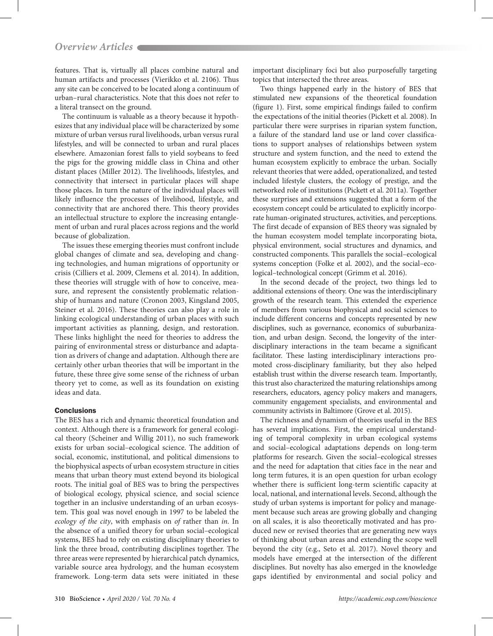features. That is, virtually all places combine natural and human artifacts and processes (Vierikko et al. 2106). Thus any site can be conceived to be located along a continuum of urban–rural characteristics. Note that this does not refer to a literal transect on the ground.

The continuum is valuable as a theory because it hypothesizes that any individual place will be characterized by some mixture of urban versus rural livelihoods, urban versus rural lifestyles, and will be connected to urban and rural places elsewhere. Amazonian forest falls to yield soybeans to feed the pigs for the growing middle class in China and other distant places (Miller 2012). The livelihoods, lifestyles, and connectivity that intersect in particular places will shape those places. In turn the nature of the individual places will likely influence the processes of livelihood, lifestyle, and connectivity that are anchored there. This theory provides an intellectual structure to explore the increasing entanglement of urban and rural places across regions and the world because of globalization.

The issues these emerging theories must confront include global changes of climate and sea, developing and changing technologies, and human migrations of opportunity or crisis (Cilliers et al. 2009, Clemens et al. 2014). In addition, these theories will struggle with of how to conceive, measure, and represent the consistently problematic relationship of humans and nature (Cronon 2003, Kingsland 2005, Steiner et al. 2016). These theories can also play a role in linking ecological understanding of urban places with such important activities as planning, design, and restoration. These links highlight the need for theories to address the pairing of environmental stress or disturbance and adaptation as drivers of change and adaptation. Although there are certainly other urban theories that will be important in the future, these three give some sense of the richness of urban theory yet to come, as well as its foundation on existing ideas and data.

#### **Conclusions**

The BES has a rich and dynamic theoretical foundation and context. Although there is a framework for general ecological theory (Scheiner and Willig 2011), no such framework exists for urban social–ecological science. The addition of social, economic, institutional, and political dimensions to the biophysical aspects of urban ecosystem structure in cities means that urban theory must extend beyond its biological roots. The initial goal of BES was to bring the perspectives of biological ecology, physical science, and social science together in an inclusive understanding of an urban ecosystem. This goal was novel enough in 1997 to be labeled the *ecology of the city*, with emphasis on *of* rather than *in*. In the absence of a unified theory for urban social–ecological systems, BES had to rely on existing disciplinary theories to link the three broad, contributing disciplines together. The three areas were represented by hierarchical patch dynamics, variable source area hydrology, and the human ecosystem framework. Long-term data sets were initiated in these

important disciplinary foci but also purposefully targeting topics that intersected the three areas.

Two things happened early in the history of BES that stimulated new expansions of the theoretical foundation (figure 1). First, some empirical findings failed to confirm the expectations of the initial theories (Pickett et al. 2008). In particular there were surprises in riparian system function, a failure of the standard land use or land cover classifications to support analyses of relationships between system structure and system function, and the need to extend the human ecosystem explicitly to embrace the urban. Socially relevant theories that were added, operationalized, and tested included lifestyle clusters, the ecology of prestige, and the networked role of institutions (Pickett et al. 2011a). Together these surprises and extensions suggested that a form of the ecosystem concept could be articulated to explicitly incorporate human-originated structures, activities, and perceptions. The first decade of expansion of BES theory was signaled by the human ecosystem model template incorporating biota, physical environment, social structures and dynamics, and constructed components. This parallels the social–ecological systems conception (Folke et al. 2002), and the social–ecological–technological concept (Grimm et al. 2016).

In the second decade of the project, two things led to additional extensions of theory. One was the interdisciplinary growth of the research team. This extended the experience of members from various biophysical and social sciences to include different concerns and concepts represented by new disciplines, such as governance, economics of suburbanization, and urban design. Second, the longevity of the interdisciplinary interactions in the team became a significant facilitator. These lasting interdisciplinary interactions promoted cross-disciplinary familiarity, but they also helped establish trust within the diverse research team. Importantly, this trust also characterized the maturing relationships among researchers, educators, agency policy makers and managers, community engagement specialists, and environmental and community activists in Baltimore (Grove et al. 2015).

The richness and dynamism of theories useful in the BES has several implications. First, the empirical understanding of temporal complexity in urban ecological systems and social–ecological adaptations depends on long-term platforms for research. Given the social–ecological stresses and the need for adaptation that cities face in the near and long term futures, it is an open question for urban ecology whether there is sufficient long-term scientific capacity at local, national, and international levels. Second, although the study of urban systems is important for policy and management because such areas are growing globally and changing on all scales, it is also theoretically motivated and has produced new or revised theories that are generating new ways of thinking about urban areas and extending the scope well beyond the city (e.g., Seto et al. 2017). Novel theory and models have emerged at the intersection of the different disciplines. But novelty has also emerged in the knowledge gaps identified by environmental and social policy and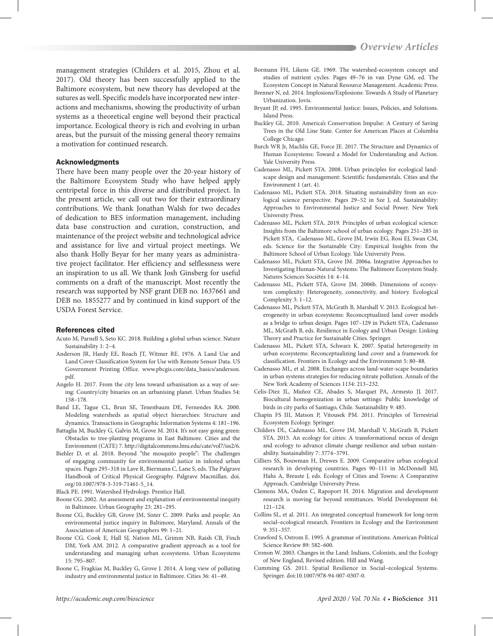management strategies (Childers et al. 2015, Zhou et al. 2017). Old theory has been successfully applied to the Baltimore ecosystem, but new theory has developed at the sutures as well. Specific models have incorporated new interactions and mechanisms, showing the productivity of urban systems as a theoretical engine well beyond their practical importance. Ecological theory is rich and evolving in urban areas, but the pursuit of the missing general theory remains a motivation for continued research.

#### Acknowledgments

There have been many people over the 20-year history of the Baltimore Ecosystem Study who have helped apply centripetal force in this diverse and distributed project. In the present article, we call out two for their extraordinary contributions. We thank Jonathan Walsh for two decades of dedication to BES information management, including data base construction and curation, construction, and maintenance of the project website and technological advice and assistance for live and virtual project meetings. We also thank Holly Beyar for her many years as administrative project facilitator. Her efficiency and selflessness were an inspiration to us all. We thank Josh Ginsberg for useful comments on a draft of the manuscript. Most recently the research was supported by NSF grant DEB no. 1637661 and DEB no. 1855277 and by continued in kind support of the USDA Forest Service.

#### References cited

- Acuto M, Parnell S, Seto KC. 2018. Building a global urban science. Nature Sustainability 1: 2–4.
- Anderson JR, Hardy EE, Roach JT, Witmer RE. 1976. A Land Use and Land Cover Classification System for Use with Remote Sensor Data. US Government Printing Office. www.pbcgis.com/data\_basics/anderson. pdf.
- Angelo H. 2017. From the city lens toward urbanisation as a way of seeing: Country/city binaries on an urbanising planet. Urban Studies 54: 158–178.
- Band LE, Tague CL, Brun SE, Tenenbaum DE, Fernendes RA. 2000. Modeling watersheds as spatial object hierarchies: Structure and dynamics. Transactions in Geographic Information Systems 4: 181–196.
- Battaglia M, Buckley G, Galvin M, Grove M. 2014. It's not easy going green: Obstacles to tree-planting programs in East Baltimore. Cities and the Environment (CATE) 7. http://digitalcommons.lmu.edu/cate/vol7/iss2/6.
- Biehler D, et al. 2018. Beyond "the mosquito people": The challenges of engaging community for environmental justice in infested urban spaces. Pages 295–318 in Lave R, Biermann C, Lane S, eds. The Palgrave Handbook of Critical Physical Geography. Palgrave Macmillan. doi. org/10.1007/978-3-319-71461-5\_14.
- Black PE. 1991. Watershed Hydrology. Prentice Hall.
- Boone CG. 2002. An assessment and explanation of environmental inequity in Baltimore. Urban Geography 23: 281–295.
- Boone CG, Buckley GB, Grove JM, Sister C. 2009. Parks and people: An environmental justice inquiry in Baltimore, Maryland. Annals of the Association of American Geographers 99: 1–21.
- Boone CG, Cook E, Hall SJ, Nation ML, Grimm NB, Raish CB, Finch DM, York AM. 2012. A comparative gradient approach as a tool for understanding and managing urban ecosystems. Urban Ecosystems 15: 795–807.
- Boone C, Fragkias M, Buckley G, Grove J. 2014. A long view of polluting industry and environmental justice in Baltimore. Cities 36: 41–49.
- Bormann FH, Likens GE. 1969. The watershed-ecosystem concept and studies of nutrient cycles. Pages 49–76 in van Dyne GM, ed. The Ecosystem Concept in Natural Resource Management. Academic Press.
- Brenner N, ed. 2014. Implosions/Explosions: Towards A Study of Planetary Urbanization. Jovis.
- Bryant JP, ed. 1995. Environmental Justice: Issues, Policies, and Solutions. Island Press.
- Buckley GL. 2010. America's Conservation Impulse: A Century of Saving Trees in the Old Line State. Center for American Places at Columbia College Chicago.
- Burch WR Jr, Machlis GE, Force JE. 2017. The Structure and Dynamics of Human Ecosystems: Toward a Model for Understanding and Action. Yale University Press.
- Cadenasso ML, Pickett STA. 2008. Urban principles for ecological landscape design and management: Scientific fundamentals. Cities and the Environment 1 (art. 4).
- Cadenasso ML, Pickett STA. 2018. Situating sustainability from an ecological science perspective. Pages 29–52 in Sze J, ed. Sustainability: Approaches to Environmental Justice and Social Power. New York University Press.
- Cadenasso ML, Pickett STA. 2019. Principles of urban ecological science: Insights from the Baltimore school of urban ecology. Pages 251–285 in Pickett STA, Cadenasso ML, Grove JM, Irwin EG, Rosi EJ, Swan CM, eds. Science for the Sustainable City: Empirical Insights from the Baltimore School of Urban Ecology. Yale University Press.
- Cadenasso ML, Pickett STA, Grove JM. 2006a. Integrative Approaches to Investigating Human-Natural Systems: The Baltimore Ecosystem Study. Natures Sciences Sociétés 14: 4–14.
- Cadenasso ML, Pickett STA, Grove JM. 2006b. Dimensions of ecosystem complexity: Heterogeneity, connectivity, and history. Ecological Complexity 3: 1–12.
- Cadenasso ML, Pickett STA, McGrath B, Marshall V. 2013. Ecological heterogeneity in urban ecosystems: Reconceptualized land cover models as a bridge to urban design. Pages 107–129 in Pickett STA, Cadenasso ML, McGrath B, eds. Resilience in Ecology and Urban Design: Linking Theory and Practice for Sustainable Cities. Springer.
- Cadenasso ML, Pickett STA, Schwarz K. 2007. Spatial heterogeneity in urban ecosystems: Reconceptualizing land cover and a framework for classification. Frontiers in Ecology and the Environment 5: 80–88.
- Cadenasso ML, et al. 2008. Exchanges across land-water-scape boundaries in urban systems strategies for reducing nitrate pollution. Annals of the New York Academy of Sciences 1134: 213–232.
- Celis-Diez JL, Muñoz CE, Abades S, Marquet PA, Armesto JJ. 2017. Biocultural homogenization in urban settings: Public knowledge of birds in city parks of Santiago, Chile. Sustainability 9: 485.
- Chapin FS III, Matson P, Vitousek PM. 2011. Principles of Terrestrial Ecosystem Ecology. Springer.
- Childers DL, Cadenasso ML, Grove JM, Marshall V, McGrath B, Pickett STA. 2015. An ecology for cities: A transformational nexus of design and ecology to advance climate change resilience and urban sustainability. Sustainability 7: 3774–3791.
- Cilliers SS, Bouwman H, Drewes E. 2009. Comparative urban ecological research in developing countries. Pages 90–111 in McDonnell MJ, Hahs A, Breuste J, eds. Ecology of Cities and Towns: A Comparative Approach. Cambridge University Press.
- Clemens MA, Ozden C, Rapoport H. 2014. Migration and development research is moving far beyond remittances. World Development 64: 121–124.
- Collins SL, et al. 2011. An integrated conceptual framework for long-term social–ecological research. Frontiers in Ecology and the Environment 9: 351–357.
- Crawford S, Ostrom E. 1995. A grammar of institutions. American Political Science Review 89: 582–600.
- Cronon W. 2003. Changes in the Land: Indians, Colonists, and the Ecology of New England, Revised edition. Hill and Wang.
- Cumming GS. 2011. Spatial Resilience in Social–ecological Systems. Springer. doi:10.1007/978-94-007-0307-0.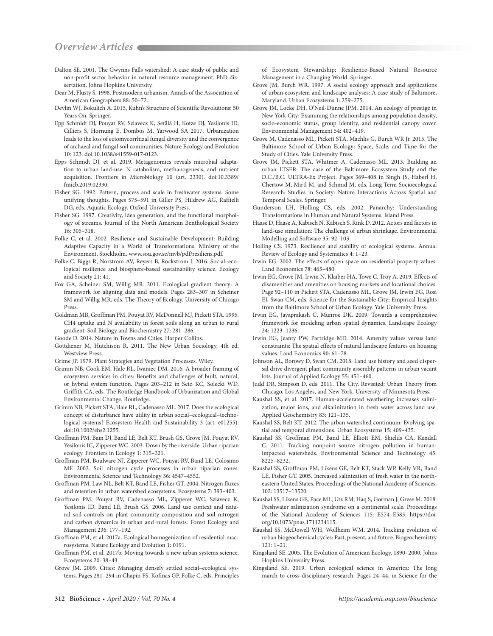- Dalton SE. 2001. The Gwynns Falls watershed: A case study of public and non-profit sector behavior in natural resource management. PhD dissertation, Johns Hopkins University.
- Dear M, Flusty S. 1998. Postmodern urbanism. Annals of the Association of American Geographers 88: 50–72.
- Devlin WJ, Bokulich A. 2015. Kuhn's Structure of Scientific Revolutions: 50 Years On. Springer.
- Epp Schmidt DJ, Pouyat RV, Szlavecz K, Setälä H, Kotze DJ, Yesilonis ID, Cilliers S, Hornung E, Dombos M, Yarwood SA 2017. Urbanization leads to the loss of ectomycorrhizal fungal diversity and the convergence of archaeal and fungal soil communities. Nature Ecology and Evolution 10: 123. doi:10.1038/s41559-017-0123.
- Epps Schmidt DJ, et al. 2019. Metagenomics reveals microbial adaptation to urban land-use: N catabolism, methanogenesis, and nutrient acquisition. Frontiers in Microbiology 10 (art. 2330). doi:10.3389/ fmicb.2019.02330.
- Fisher SG. 1992. Pattern, process and scale in freshwater systems: Some unifying thoughts. Pages 575–591 in Giller PS, Hildrew AG, Raffielli DG, eds. Aquatic Ecology. Oxford University Press.
- Fisher SG. 1997. Creativity, idea generation, and the functional morphology of streams. Journal of the North American Benthological Society 16: 305–318.
- Folke C, et al. 2002. Resilience and Sustainable Development: Building Adaptive Capacity in a World of Transformations. Ministry of the Environment, Stockholm. www.sou.gov.se/mvb/pdf/resiliens.pdf.
- Folke C, Biggs R, Norstrom AV, Reyers B, Rockstrom J. 2016. Social–ecological resilience and biosphere-based sustainability science. Ecology and Society 21: 41.
- Fox GA, Scheiner SM, Willig MR. 2011. Ecological gradient theory: A framework for aligning data and models. Pages 283–307 in Scheiner SM and Willig MR, eds. The Theory of Ecology. University of Chicago Press.
- Goldman MB, Groffman PM, Pouyat RV, McDonnell MJ, Pickett STA. 1995. CH4 uptake and N availability in forest soils along an urban to rural gradient. Soil Biology and Biochemistry 27: 281–286.

Goode D. 2014. Nature in Towns and Cities. Harper Collins.

Gottdiener M, Hutchison R. 2011. The New Urban Sociology, 4th ed. Westview Press.

Grime JP. 1979. Plant Strategies and Vegetation Processes. Wiley.

- Grimm NB, Cook EM, Hale RL, Iwaniec DM. 2016. A broader framing of ecosystem services in cities: Benefits and challenges of built, natural, or hybrid system function. Pages 203–212 in Seto KC, Solecki WD, Griffith CA, eds. The Routledge Handbook of Urbanization and Global Environmental Change. Routledge.
- Grimm NB, Pickett STA, Hale RL, Cadenasso ML. 2017. Does the ecological concept of disturbance have utility in urban social–ecological–technological systems? Ecosystem Health and Sustainability 3 (art. e01255). doi:10.1002/ehs2.1255.
- Groffman PM, Bain DJ, Band LE, Belt KT, Brush GS, Grove JM, Pouyat RV, Yesilonis IC, Zipperer WC. 2003. Down by the riverside: Urban riparian ecology. Frontiers in Ecology 1: 315–321.
- Groffman PM, Boulware NJ, Zipperer WC, Pouyat RV, Band LE, Colosimo MF. 2002. Soil nitrogen cycle processes in urban riparian zones. Environmental Science and Technology 36: 4547–4552.
- Groffman PM, Law NL, Belt KT, Band LE, Fisher GT. 2004. Nitrogen fluxes and retention in urban watershed ecosystems. Ecosystems 7: 393–403.
- Groffman PM, Pouyat RV, Cadenasso ML, Zipperer WC, Szlavecz K, Yesilonis ID, Band LE, Brush GS. 2006. Land use context and natural soil controls on plant community composition and soil nitrogen and carbon dynamics in urban and rural forests. Forest Ecology and Management 236: 177–192.
- Groffman PM, et al. 2017a. Ecological homogenization of residential macrosystems. Nature Ecology and Evolution 1: 0191.
- Groffman PM, et al. 2017b. Moving towards a new urban systems science. Ecosystems 20: 38–43.
- Grove JM. 2009. Cities: Managing densely settled social–ecological systems. Pages 281–294 in Chapin FS, Kofinas GP, Folke C, eds. Principles

of Ecosystem Stewardship: Resilience-Based Natural Resource Management in a Changing World. Springer.

- Grove JM, Burch WR. 1997. A social ecology approach and applications of urban ecosystem and landscape analyses: A case study of Baltimore, Maryland. Urban Ecosystems 1: 259–275.
- Grove JM, Locke DH, O'Neil-Dunne JPM. 2014. An ecology of prestige in New York City: Examining the relationships among population density, socio-economic status, group identity, and residential canopy cover. Environmental Management 54: 402–419.
- Grove M, Cadenasso ML, Pickett STA, Machlis G, Burch WR Jr. 2015. The Baltimore School of Urban Ecology: Space, Scale, and Time for the Study of Cities. Yale University Press.
- Grove JM, Pickett STA, Whitmer A, Cadenasso ML. 2013. Building an urban LTSER: The case of the Baltimore Ecosystem Study and the D.C./B.C. ULTRA-Ex Project. Pages 369–408 in Singh JS, Haberl H, Chertow M, Mirtl M, and Schmid M, eds. Long Term Socioecological Research: Studies in Society: Nature Interactions Across Spatial and Temporal Scales. Springer.
- Gunderson LH, Holling CS, eds. 2002. Panarchy: Understanding Transformations in Human and Natural Systems. Island Press.
- Haase D, Haase A, Kabisch N, Kabisch S, Rink D. 2012. Actors and factors in land-use simulation: The challenge of urban shrinkage. Environmental Modelling and Software 35: 92–103.
- Holling CS. 1973. Resilience and stability of ecological systems. Annual Review of Ecology and Systematics 4: 1–23.
- Irwin EG. 2002. The effects of open space on residential property values. Land Economics 78: 465–480.
- Irwin EG, Grove JM, Irwin N, Klaiber HA, Towe C, Troy A. 2019. Effects of disamenities and amenities on housing markets and locational choices. Page 92–110 in Pickett STA, Cadenasso ML, Grove JM, Irwin EG, Rosi EJ, Swan CM, eds. Science for the Sustainable City: Empirical Insights from the Baltimore School of Urban Ecology. Yale University Press.
- Irwin EG, Jayaprakash C, Munroe DK. 2009. Towards a comprehensive framework for modeling urban spatial dynamics. Landscape Ecology 24: 1223–1236.
- Irwin EG, Jeanty PW, Partridge MD. 2014. Amenity values versus land constraints: The spatial effects of natural landscape features on housing values. Land Economics 90: 61–78.
- Johnson AL, Borowy D, Swan CM. 2018. Land use history and seed dispersal drive divergent plant community assembly patterns in urban vacant lots. Journal of Applied Ecology 55: 451–460.
- Judd DR, Simpson D, eds. 2011. The City, Revisited: Urban Theory from Chicago, Los Angeles, and New York. University of Minnesota Press.
- Kaushal SS, et al. 2017. Human-accelerated weathering increases salinization, major ions, and alkalinization in fresh water across land use. Applied Geochemistry 83: 121–135.
- Kaushal SS, Belt KT. 2012. The urban watershed continuum: Evolving spatial and temporal dimensions. Urban Ecosystems 15: 409–435.
- Kaushal SS, Groffman PM, Band LE, Elliott EM, Shields CA, Kendall C. 2011. Tracking nonpoint source nitrogen pollution in humanimpacted watersheds. Environmental Science and Technology 45: 8225–8232.
- Kaushal SS, Groffman PM, Likens GE, Belt KT, Stack WP, Kelly VR, Band LE, Fisher GT. 2005. Increased salinization of fresh water in the northeastern United States. Proceedings of the National Academy of Sciences. 102: 13517–13520.
- Kaushal SS, Likens GE, Pace ML, Utz RM, Haq S, Gorman J, Grese M. 2018. Freshwater salinization syndrome on a continental scale. Proceedings of the National Academy of Sciences 115: E574–E583. https://doi. org/10.1073/pnas.1711234115.
- Kaushal SS, McDowell WH, Wollheim WM. 2014. Tracking evolution of urban biogeochemical cycles: Past, present, and future. Biogeochemistry 121: 1–21.
- Kingsland SE. 2005. The Evolution of American Ecology, 1890–2000. Johns Hopkins University Press.
- Kingsland SE. 2019. Urban ecological science in America: The long march to cross-disciplinary research. Pages 24–44, in Science for the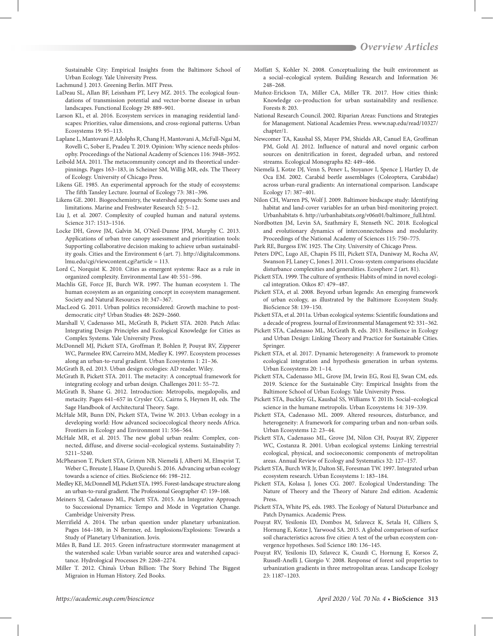Sustainable City: Empirical Insights from the Baltimore School of Urban Ecology. Yale University Press.

Lachmund J. 2013. Greening Berlin. MIT Press.

- LaDeau SL, Allan BF, Leisnham PT, Levy MZ. 2015. The ecological foundations of transmission potential and vector-borne disease in urban landscapes. Functional Ecology 29: 889–901.
- Larson KL, et al. 2016. Ecosystem services in managing residential landscapes: Priorities, value dimensions, and cross-regional patterns. Urban Ecosystems 19: 95–113.
- Laplane L, Mantovani P, Adolphs R, Chang H, Mantovani A, McFall-Ngai M, Rovelli C, Sober E, Pradeu T. 2019. Opinion: Why science needs philosophy. Proceedings of the National Academy of Sciences 116: 3948–3952.
- Leibold MA. 2011. The metacommunity concept and its theoretical underpinnings. Pages 163–183, in Scheiner SM, Willig MR, eds. The Theory of Ecology. University of Chicago Press.
- Likens GE. 1985. An experimental approach for the study of ecosystems: The fifth Tansley Lecture. Journal of Ecology 73: 381–396.
- Likens GE. 2001. Biogeochemistry, the watershed approach: Some uses and limitations. Marine and Freshwater Research 52: 5–12.
- Liu J, et al. 2007. Complexity of coupled human and natural systems. Science 317: 1513–1516.
- Locke DH, Grove JM, Galvin M, O'Neil-Dunne JPM, Murphy C. 2013. Applications of urban tree canopy assessment and prioritization tools: Supporting collaborative decision making to achieve urban sustainability goals. Cities and the Environment 6 (art. 7). http://digitalcommons. lmu.edu/cgi/viewcontent.cgi?article = 113.
- Lord C, Norquist K. 2010. Cities as emergent systems: Race as a rule in organized complexity. Environmental Law 40: 551–596.
- Machlis GE, Force JE, Burch WR. 1997. The human ecosystem 1. The human ecosystem as an organizing concept in ecosystem management. Society and Natural Resources 10: 347–367.
- MacLeod G. 2011. Urban politics reconsidered: Growth machine to postdemocratic city? Urban Studies 48: 2629–2660.
- Marshall V, Cadenasso ML, McGrath B, Pickett STA. 2020. Patch Atlas: Integrating Design Principles and Ecological Knowledge for Cities as Complex Systems. Yale University Press.
- McDonnell MJ, Pickett STA, Groffman P, Bohlen P, Pouyat RV, Zipperer WC, Parmelee RW, Carreiro MM, Medley K. 1997. Ecosystem processes along an urban-to-rural gradient. Urban Ecosystems 1: 21–36.

McGrath B, ed. 2013. Urban design ecologies: AD reader. Wiley.

- McGrath B, Pickett STA. 2011. The metacity: A conceptual framework for integrating ecology and urban design. Challenges 2011: 55–72.
- McGrath B, Shane G. 2012. Introduction: Metropolis, megalopolis, and metacity. Pages 641–657 in Crysler CG, Cairns S, Heynen H, eds. The Sage Handbook of Architectural Theory. Sage.
- McHale MR, Bunn DN, Pickett STA, Twine W. 2013. Urban ecology in a developing world: How advanced socioecological theory needs Africa. Frontiers in Ecology and Environment 11: 556–564.
- McHale MR, et al. 2015. The new global urban realm: Complex, connected, diffuse, and diverse social–ecological systems. Sustainability 7: 5211–5240.

McPhearson T, Pickett STA, Grimm NB, Niemelä J, Alberti M, Elmqvist T, Weber C, Breuste J, Haase D, Qureshi S. 2016. Advancing urban ecology towards a science of cities. BioScience 66: 198–212.

Medley KE, McDonnell MJ, Pickett STA. 1995. Forest-landscape structure along an urban-to-rural gradient. The Professional Geographer 47: 159–168.

Meiners SJ, Cadenasso ML, Pickett STA. 2015. An Integrative Approach to Successional Dynamics: Tempo and Mode in Vegetation Change. Cambridge University Press.

Merrifield A. 2014. The urban question under planetary urbanization. Pages 164–180, in N Bernner, ed. Implosions/Explosions: Towards a Study of Planetary Urbanization. Jovis.

Miles B, Band LE. 2015. Green infrastructure stormwater management at the watershed scale: Urban variable source area and watershed capacitance. Hydrological Processes 29: 2268–2274.

Miller T. 2012. China's Urban Billion: The Story Behind The Biggest Migraion in Human History. Zed Books.

- Moffatt S, Kohler N. 2008. Conceptualizing the built environment as a social–ecological system. Building Research and Information 36: 248–268.
- Muñoz-Erickson TA, Miller CA, Miller TR. 2017. How cities think: Knowledge co-production for urban sustainability and resilience. Forests 8: 203.
- National Research Council. 2002. Riparian Areas: Functions and Strategies for Management. National Academies Press. www.nap.edu/read/10327/ chapter/1.

Newcomer TA, Kaushal SS, Mayer PM, Shields AR, Canuel EA, Groffman PM, Gold AJ. 2012. Influence of natural and novel organic carbon sources on denitrification in forest, degraded urban, and restored streams. Ecological Monographs 82: 449–466.

Niemelä J, Kotze DJ, Venn S, Penev L, Stoyanov I, Spence J, Hartley D, de Oca EM. 2002. Carabid beetle assemblages (Coleoptera, Carabidae) across urban-rural gradients: An international comparison. Landscape Ecology 17: 387–401.

Nilon CH, Warren PS, Wolf J. 2009. Baltimore birdscape study: Identifying habitat and land-cover variables for an urban bird-monitoring project. Urbanhabitats 6. http://urbanhabitats.org/v06n01/baltimore\_full.html.

Nordbotten JM, Levin SA, Szathmáry E, Stenseth NC. 2018. Ecological and evolutionary dynamics of interconnectedness and modularity. Proceedings of the National Academy of Sciences 115: 750–775.

Park RE, Burgess EW. 1925. The City. University of Chicago Press.

- Peters DPC, Lugo AE, Chapin FS III, Pickett STA, Duniway M, Rocha AV, Swanson FJ, Laney C, Jones J. 2011. Cross-system comparisons elucidate disturbance complexities and generalities. Ecosphere 2 (art. 81).
- Pickett STA. 1999. The culture of synthesis: Habits of mind in novel ecological integration. Oikos 87: 479–487.
- Pickett STA, et al. 2008. Beyond urban legends: An emerging framework of urban ecology, as illustrated by the Baltimore Ecosystem Study. BioScience 58: 139–150.

Pickett STA, et al. 2011a. Urban ecological systems: Scientific foundations and a decade of progress. Journal of Environmental Management 92: 331–362.

Pickett STA, Cadenasso ML, McGrath B, eds. 2013. Resilience in Ecology and Urban Design: Linking Theory and Practice for Sustainable Cities. Springer.

Pickett STA, et al. 2017. Dynamic heterogeneity: A framework to promote ecological integration and hypothesis generation in urban systems. Urban Ecosystems 20: 1–14.

Pickett STA, Cadenasso ML, Grove JM, Irwin EG, Rosi EJ, Swan CM, eds. 2019. Science for the Sustainable City: Empirical Insights from the Baltimore School of Urban Ecology. Yale University Press.

Pickett STA, Buckley GL, Kaushal SS, Williams Y. 2011b. Social–ecological science in the humane metropolis. Urban Ecosystems 14: 319–339.

Pickett STA, Cadenasso ML. 2009. Altered resources, disturbance, and heterogeneity: A framework for comparing urban and non-urban soils. Urban Ecosystems 12: 23–44.

Pickett STA, Cadenasso ML, Grove JM, Nilon CH, Pouyat RV, Zipperer WC, Costanza R. 2001. Urban ecological systems: Linking terrestrial ecological, physical, and socioeconomic components of metropolitan areas. Annual Review of Ecology and Systematics 32: 127–157.

Pickett STA, Burch WR Jr, Dalton SE, Foresman TW. 1997. Integrated urban ecosystem research. Urban Ecosystems 1: 183–184.

Pickett STA, Kolasa J, Jones CG. 2007. Ecological Understanding: The Nature of Theory and the Theory of Nature 2nd edition. Academic Press.

Pickett STA, White PS, eds. 1985. The Ecology of Natural Disturbance and Patch Dynamics. Academic Press.

Pouyat RV, Yesilonis ID, Dombos M, Szlavecz K, Setala H, Cilliers S, Hornung E, Kotze J, Yarwood SA. 2015. A global comparison of surface soil characteristics across five cities: A test of the urban ecosystem convergence hypotheses. Soil Science 180: 136–145.

Pouyat RV, Yesilonis ID, Szlavecz K, Csuzdi C, Hornung E, Korsos Z, Russell-Anelli J, Giorgio V. 2008. Response of forest soil properties to urbanization gradients in three metropolitan areas. Landscape Ecology 23: 1187–1203.